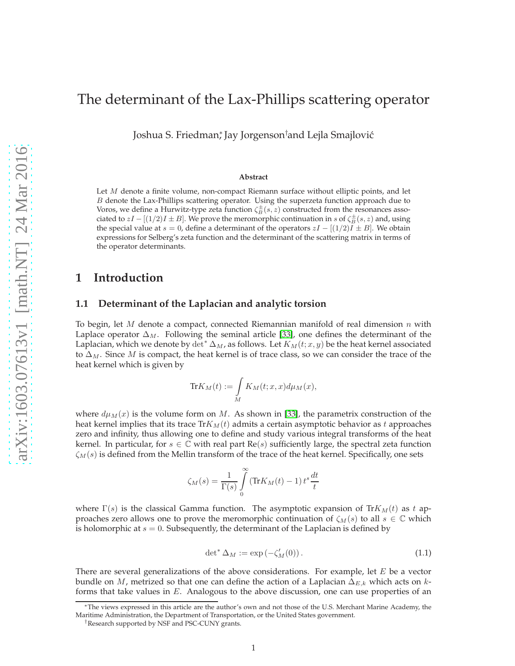# The determinant of the Lax-Phillips scattering operator

Joshua S. Friedman\*, Jay Jorgenson†and Lejla Smajlović

#### **Abstract**

Let M denote a finite volume, non-compact Riemann surface without elliptic points, and let B denote the Lax-Phillips scattering operator. Using the superzeta function approach due to Voros, we define a Hurwitz-type zeta function  $\zeta_B^{\pm}(s,z)$  constructed from the resonances associated to  $zI - [(1/2)I \pm B]$ . We prove the meromorphic continuation in s of  $\zeta_B^{\pm}(s, z)$  and, using the special value at  $s = 0$ , define a determinant of the operators  $zI - [(1/2)I \pm B]$ . We obtain expressions for Selberg's zeta function and the determinant of the scattering matrix in terms of the operator determinants.

### **1 Introduction**

### **1.1 Determinant of the Laplacian and analytic torsion**

To begin, let M denote a compact, connected Riemannian manifold of real dimension  $n$  with Laplace operator  $\Delta_M$ . Following the seminal article [\[33\]](#page-21-0), one defines the determinant of the Laplacian, which we denote by det\*  $\Delta_M$ , as follows. Let  $K_M(t; x, y)$  be the heat kernel associated to  $\Delta_M$ . Since M is compact, the heat kernel is of trace class, so we can consider the trace of the heat kernel which is given by

$$
\text{Tr}K_M(t):=\int\limits_M K_M(t;x,x)d\mu_M(x),
$$

where  $d\mu_M(x)$  is the volume form on M. As shown in [\[33\]](#page-21-0), the parametrix construction of the heat kernel implies that its trace  $Tr K_M(t)$  admits a certain asymptotic behavior as t approaches zero and infinity, thus allowing one to define and study various integral transforms of the heat kernel. In particular, for  $s \in \mathbb{C}$  with real part  $\text{Re}(s)$  sufficiently large, the spectral zeta function  $\zeta_M(s)$  is defined from the Mellin transform of the trace of the heat kernel. Specifically, one sets

$$
\zeta_M(s) = \frac{1}{\Gamma(s)} \int\limits_0^\infty \left( \text{Tr} K_M(t) - 1 \right) t^s \frac{dt}{t}
$$

where  $\Gamma(s)$  is the classical Gamma function. The asymptotic expansion of  $Tr K_M(t)$  as t approaches zero allows one to prove the meromorphic continuation of  $\zeta_M(s)$  to all  $s \in \mathbb{C}$  which is holomorphic at  $s = 0$ . Subsequently, the determinant of the Laplacian is defined by

$$
\det^* \Delta_M := \exp(-\zeta'_M(0)). \tag{1.1}
$$

There are several generalizations of the above considerations. For example, let  $E$  be a vector bundle on M, metrized so that one can define the action of a Laplacian  $\Delta_{E,k}$  which acts on kforms that take values in  $E$ . Analogous to the above discussion, one can use properties of an

<sup>∗</sup>The views expressed in this article are the author's own and not those of the U.S. Merchant Marine Academy, the Maritime Administration, the Department of Transportation, or the United States government.

<sup>†</sup>Research supported by NSF and PSC-CUNY grants.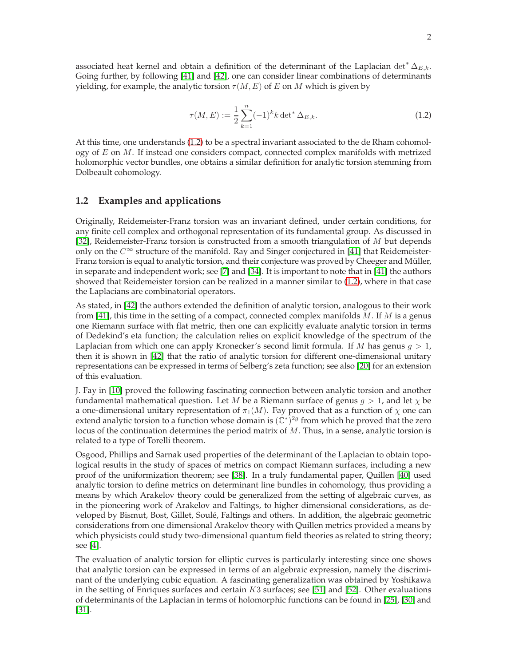associated heat kernel and obtain a definition of the determinant of the Laplacian det<sup>∗</sup>  $\Delta_{E,k}$ . Going further, by following [\[41\]](#page-21-1) and [\[42\]](#page-21-2), one can consider linear combinations of determinants yielding, for example, the analytic torsion  $\tau(M, E)$  of E on M which is given by

<span id="page-1-0"></span>
$$
\tau(M, E) := \frac{1}{2} \sum_{k=1}^{n} (-1)^k k \det^* \Delta_{E, k}.
$$
\n(1.2)

At this time, one understands [\(1.2\)](#page-1-0) to be a spectral invariant associated to the de Rham cohomology of  $E$  on  $M$ . If instead one considers compact, connected complex manifolds with metrized holomorphic vector bundles, one obtains a similar definition for analytic torsion stemming from Dolbeault cohomology.

### **1.2 Examples and applications**

Originally, Reidemeister-Franz torsion was an invariant defined, under certain conditions, for any finite cell complex and orthogonal representation of its fundamental group. As discussed in [\[32\]](#page-21-3), Reidemeister-Franz torsion is constructed from a smooth triangulation of M but depends only on the  $C^{\infty}$  structure of the manifold. Ray and Singer conjectured in [\[41\]](#page-21-1) that Reidemeister-Franz torsion is equal to analytic torsion, and their conjecture was proved by Cheeger and Müller, in separate and independent work; see [\[7\]](#page-20-0) and [\[34\]](#page-21-4). It is important to note that in [\[41\]](#page-21-1) the authors showed that Reidemeister torsion can be realized in a manner similar to [\(1.2\)](#page-1-0), where in that case the Laplacians are combinatorial operators.

As stated, in [\[42\]](#page-21-2) the authors extended the definition of analytic torsion, analogous to their work from [\[41\]](#page-21-1), this time in the setting of a compact, connected complex manifolds  $M$ . If  $M$  is a genus one Riemann surface with flat metric, then one can explicitly evaluate analytic torsion in terms of Dedekind's eta function; the calculation relies on explicit knowledge of the spectrum of the Laplacian from which one can apply Kronecker's second limit formula. If M has genus  $g > 1$ , then it is shown in [\[42\]](#page-21-2) that the ratio of analytic torsion for different one-dimensional unitary representations can be expressed in terms of Selberg's zeta function; see also [\[20\]](#page-20-1) for an extension of this evaluation.

J. Fay in [\[10\]](#page-20-2) proved the following fascinating connection between analytic torsion and another fundamental mathematical question. Let M be a Riemann surface of genus  $g > 1$ , and let  $\chi$  be a one-dimensional unitary representation of  $\pi_1(M)$ . Fay proved that as a function of  $\chi$  one can extend analytic torsion to a function whose domain is  $(\mathbb{C}^*)^{2g}$  from which he proved that the zero locus of the continuation determines the period matrix of M. Thus, in a sense, analytic torsion is related to a type of Torelli theorem.

Osgood, Phillips and Sarnak used properties of the determinant of the Laplacian to obtain topological results in the study of spaces of metrics on compact Riemann surfaces, including a new proof of the uniformization theorem; see [\[38\]](#page-21-5). In a truly fundamental paper, Quillen [\[40\]](#page-21-6) used analytic torsion to define metrics on determinant line bundles in cohomology, thus providing a means by which Arakelov theory could be generalized from the setting of algebraic curves, as in the pioneering work of Arakelov and Faltings, to higher dimensional considerations, as developed by Bismut, Bost, Gillet, Soulé, Faltings and others. In addition, the algebraic geometric considerations from one dimensional Arakelov theory with Quillen metrics provided a means by which physicists could study two-dimensional quantum field theories as related to string theory; see [\[4\]](#page-20-3).

The evaluation of analytic torsion for elliptic curves is particularly interesting since one shows that analytic torsion can be expressed in terms of an algebraic expression, namely the discriminant of the underlying cubic equation. A fascinating generalization was obtained by Yoshikawa in the setting of Enriques surfaces and certain  $K3$  surfaces; see [\[51\]](#page-22-0) and [\[52\]](#page-22-1). Other evaluations of determinants of the Laplacian in terms of holomorphic functions can be found in [\[25\]](#page-21-7), [\[30\]](#page-21-8) and [\[31\]](#page-21-9).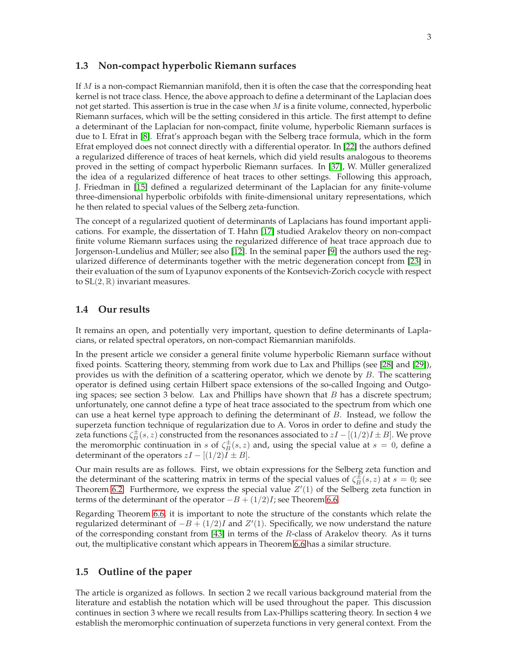### **1.3 Non-compact hyperbolic Riemann surfaces**

If  $M$  is a non-compact Riemannian manifold, then it is often the case that the corresponding heat kernel is not trace class. Hence, the above approach to define a determinant of the Laplacian does not get started. This assertion is true in the case when  $M$  is a finite volume, connected, hyperbolic Riemann surfaces, which will be the setting considered in this article. The first attempt to define a determinant of the Laplacian for non-compact, finite volume, hyperbolic Riemann surfaces is due to I. Efrat in [\[8\]](#page-20-4). Efrat's approach began with the Selberg trace formula, which in the form Efrat employed does not connect directly with a differential operator. In [\[22\]](#page-21-10) the authors defined a regularized difference of traces of heat kernels, which did yield results analogous to theorems proved in the setting of compact hyperbolic Riemann surfaces. In [\[37\]](#page-21-11), W. Müller generalized the idea of a regularized difference of heat traces to other settings. Following this approach, J. Friedman in [\[15\]](#page-20-5) defined a regularized determinant of the Laplacian for any finite-volume three-dimensional hyperbolic orbifolds with finite-dimensional unitary representations, which he then related to special values of the Selberg zeta-function.

The concept of a regularized quotient of determinants of Laplacians has found important applications. For example, the dissertation of T. Hahn [\[17\]](#page-20-6) studied Arakelov theory on non-compact finite volume Riemann surfaces using the regularized difference of heat trace approach due to Jorgenson-Lundelius and Müller; see also [\[12\]](#page-20-7). In the seminal paper [\[9\]](#page-20-8) the authors used the regularized difference of determinants together with the metric degeneration concept from [\[23\]](#page-21-12) in their evaluation of the sum of Lyapunov exponents of the Kontsevich-Zorich cocycle with respect to  $SL(2,\mathbb{R})$  invariant measures.

### **1.4 Our results**

It remains an open, and potentially very important, question to define determinants of Laplacians, or related spectral operators, on non-compact Riemannian manifolds.

In the present article we consider a general finite volume hyperbolic Riemann surface without fixed points. Scattering theory, stemming from work due to Lax and Phillips (see [\[28\]](#page-21-13) and [\[29\]](#page-21-14)), provides us with the definition of a scattering operator, which we denote by  $B$ . The scattering operator is defined using certain Hilbert space extensions of the so-called Ingoing and Outgoing spaces; see section 3 below. Lax and Phillips have shown that  $B$  has a discrete spectrum; unfortunately, one cannot define a type of heat trace associated to the spectrum from which one can use a heat kernel type approach to defining the determinant of  $B$ . Instead, we follow the superzeta function technique of regularization due to A. Voros in order to define and study the zeta functions  $\zeta_B^{\pm}(s, z)$  constructed from the resonances associated to  $zI - [(1/2)I \pm B]$ . We prove the meromorphic continuation in s of  $\zeta_B^{\pm}(s, z)$  and, using the special value at  $s = 0$ , define a determinant of the operators  $zI - [(1/2)I \pm B]$ .

Our main results are as follows. First, we obtain expressions for the Selberg zeta function and the determinant of the scattering matrix in terms of the special values of  $\zeta_B^{\pm}(s, z)$  at  $s = 0$ ; see Theorem [6.2.](#page-16-0) Furthermore, we express the special value  $Z'(1)$  of the Selberg zeta function in terms of the determinant of the operator  $-B + (1/2)I$ ; see Theorem [6.6.](#page-19-0)

Regarding Theorem [6.6,](#page-19-0) it is important to note the structure of the constants which relate the regularized determinant of  $-B + (1/2)I$  and  $Z'(1)$ . Specifically, we now understand the nature of the corresponding constant from [\[43\]](#page-21-15) in terms of the R-class of Arakelov theory. As it turns out, the multiplicative constant which appears in Theorem [6.6](#page-19-0) has a similar structure.

### **1.5 Outline of the paper**

The article is organized as follows. In section 2 we recall various background material from the literature and establish the notation which will be used throughout the paper. This discussion continues in section 3 where we recall results from Lax-Phillips scattering theory. In section 4 we establish the meromorphic continuation of superzeta functions in very general context. From the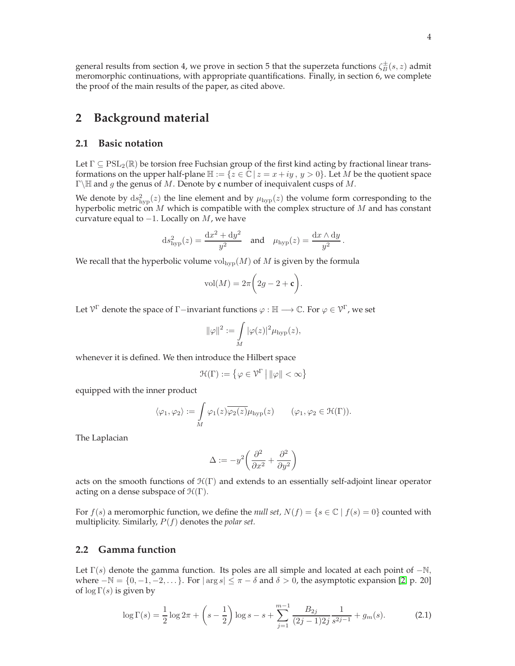general results from section 4, we prove in section 5 that the superzeta functions  $\zeta_B^{\pm}(s,z)$  admit meromorphic continuations, with appropriate quantifications. Finally, in section 6, we complete the proof of the main results of the paper, as cited above.

# **2 Background material**

### **2.1 Basic notation**

Let  $\Gamma \subseteq \text{PSL}_2(\mathbb{R})$  be torsion free Fuchsian group of the first kind acting by fractional linear transformations on the upper half-plane  $\mathbb{H} := \{z \in \mathbb{C} \mid z = x + iy, y > 0\}$ . Let M be the quotient space <sup>Γ</sup>\<sup>H</sup> and <sup>g</sup> the genus of <sup>M</sup>. Denote by **<sup>c</sup>** number of inequivalent cusps of M.

We denote by  $ds_{\text{hyp}}^2(z)$  the line element and by  $\mu_{\text{hyp}}(z)$  the volume form corresponding to the hyperbolic metric on M which is compatible with the complex structure of M and has constant curvature equal to  $-1$ . Locally on M, we have

$$
ds_{\rm hyp}^2(z) = \frac{\mathrm{d}x^2 + \mathrm{d}y^2}{y^2} \quad \text{and} \quad \mu_{\rm hyp}(z) = \frac{\mathrm{d}x \wedge \mathrm{d}y}{y^2}.
$$

We recall that the hyperbolic volume  $\text{vol}_{\text{hyp}}(M)$  of M is given by the formula

$$
vol(M) = 2\pi \bigg(2g - 2 + \mathbf{c}\bigg).
$$

Let  $\mathcal{V}^{\Gamma}$  denote the space of  $\Gamma$  –invariant functions  $\varphi : \mathbb{H} \longrightarrow \mathbb{C}$ . For  $\varphi \in \mathcal{V}^{\Gamma}$ , we set

$$
\|\varphi\|^2:=\int\limits_M |\varphi(z)|^2\mu_{\text{hyp}}(z),
$$

whenever it is defined. We then introduce the Hilbert space

$$
\mathcal{H}(\Gamma):=\left\{\varphi\in\mathcal{V}^{\Gamma}\,\middle|\, \|\varphi\|<\infty\right\}
$$

equipped with the inner product

$$
\langle \varphi_1, \varphi_2 \rangle := \int\limits_M \varphi_1(z) \overline{\varphi_2(z)} \mu_{\text{hyp}}(z) \qquad (\varphi_1, \varphi_2 \in \mathcal{H}(\Gamma)).
$$

The Laplacian

$$
\Delta:=-y^2\bigg(\frac{\partial^2}{\partial x^2}+\frac{\partial^2}{\partial y^2}\bigg)
$$

acts on the smooth functions of  $\mathcal{H}(\Gamma)$  and extends to an essentially self-adjoint linear operator acting on a dense subspace of  $\mathcal{H}(\Gamma)$ .

For  $f(s)$  a meromorphic function, we define the *null set*,  $N(f) = \{s \in \mathbb{C} \mid f(s) = 0\}$  counted with multiplicity. Similarly, P(f) denotes the *polar set.*

### **2.2 Gamma function**

Let  $\Gamma(s)$  denote the gamma function. Its poles are all simple and located at each point of  $-\mathbb{N}$ , where  $-N = \{0, -1, -2, \dots\}$ . For  $|\arg s| \le \pi - \delta$  and  $\delta > 0$ , the asymptotic expansion [\[2,](#page-20-9) p. 20] of  $\log \Gamma(s)$  is given by

<span id="page-3-0"></span>
$$
\log \Gamma(s) = \frac{1}{2} \log 2\pi + \left(s - \frac{1}{2}\right) \log s - s + \sum_{j=1}^{m-1} \frac{B_{2j}}{(2j-1)2j} \frac{1}{s^{2j-1}} + g_m(s).
$$
 (2.1)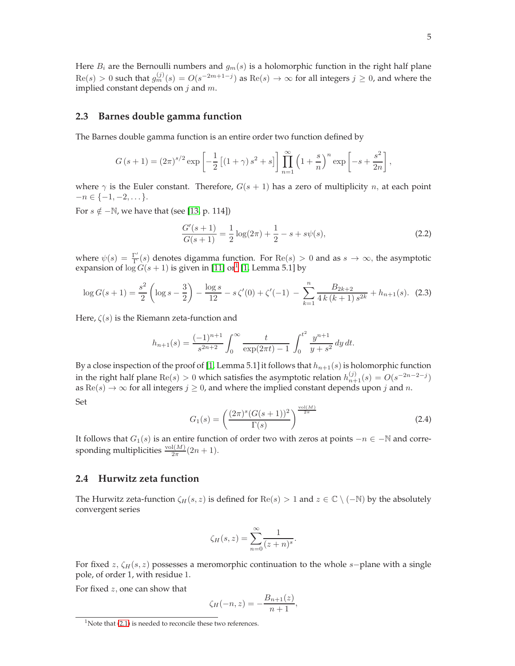Here  $B_i$  are the Bernoulli numbers and  $g_m(s)$  is a holomorphic function in the right half plane  $\text{Re}(s) > 0$  such that  $g_m^{(j)}(s) = O(s^{-2m+1-j})$  as  $\text{Re}(s) \to \infty$  for all integers  $j \ge 0$ , and where the implied constant depends on  $j$  and  $m$ .

#### **2.3 Barnes double gamma function**

The Barnes double gamma function is an entire order two function defined by

$$
G(s + 1) = (2\pi)^{s/2} \exp \left[ -\frac{1}{2} \left[ (1 + \gamma) s^2 + s \right] \right] \prod_{n=1}^{\infty} \left( 1 + \frac{s}{n} \right)^n \exp \left[ -s + \frac{s^2}{2n} \right],
$$

where  $\gamma$  is the Euler constant. Therefore,  $G(s + 1)$  has a zero of multiplicity n, at each point  $-n \in \{-1, -2, \dots\}.$ 

For  $s \notin -\mathbb{N}$ , we have that (see [\[13,](#page-20-10) p. 114])

$$
\frac{G'(s+1)}{G(s+1)} = \frac{1}{2}\log(2\pi) + \frac{1}{2} - s + s\psi(s),\tag{2.2}
$$

where  $\psi(s) = \frac{\Gamma'}{\Gamma}$  $\frac{\Gamma}{\Gamma}(s)$  denotes digamma function. For Re(s) > 0 and as  $s \to \infty$ , the asymptotic expansion of  $\log G(s + 1)$  is given in [\[11\]](#page-20-11) or<sup>1</sup> [\[1,](#page-20-12) Lemma 5.1] by

<span id="page-4-1"></span>
$$
\log G(s+1) = \frac{s^2}{2} \left( \log s - \frac{3}{2} \right) - \frac{\log s}{12} - s \zeta'(0) + \zeta'(-1) - \sum_{k=1}^n \frac{B_{2k+2}}{4k(k+1)s^{2k}} + h_{n+1}(s). \tag{2.3}
$$

Here,  $\zeta(s)$  is the Riemann zeta-function and

$$
h_{n+1}(s) = \frac{(-1)^{n+1}}{s^{2n+2}} \int_0^\infty \frac{t}{\exp(2\pi t) - 1} \int_0^{t^2} \frac{y^{n+1}}{y + s^2} dy dt.
$$

By a close inspection of the proof of [\[1,](#page-20-12) Lemma 5.1] it follows that  $h_{n+1}(s)$  is holomorphic function in the right half plane  $\text{Re}(s) > 0$  which satisfies the asymptotic relation  $h_{n+1}^{(j)}(s) = O(s^{-2n-2-j})$ as  $\text{Re}(s) \rightarrow \infty$  for all integers  $j \geq 0$ , and where the implied constant depends upon j and n. Set

<span id="page-4-0"></span>
$$
G_1(s) = \left(\frac{(2\pi)^s (G(s+1))^2}{\Gamma(s)}\right)^{\frac{\text{vol}(M)}{2\pi}}
$$
(2.4)

It follows that  $G_1(s)$  is an entire function of order two with zeros at points  $-n \in \mathbb{N}$  and corresponding multiplicities  $\frac{\text{vol}(M)}{2\pi}(2n+1)$ .

### **2.4 Hurwitz zeta function**

The Hurwitz zeta-function  $\zeta_H(s, z)$  is defined for Re $(s) > 1$  and  $z \in \mathbb{C} \setminus (-\mathbb{N})$  by the absolutely convergent series

$$
\zeta_H(s,z) = \sum_{n=0}^{\infty} \frac{1}{(z+n)^s}.
$$

For fixed  $z$ ,  $\zeta_H(s, z)$  possesses a meromorphic continuation to the whole s-plane with a single pole, of order 1, with residue 1.

For fixed z, one can show that

$$
\zeta_H(-n, z) = -\frac{B_{n+1}(z)}{n+1},
$$

 $1$ Note that [\(2.1\)](#page-3-0) is needed to reconcile these two references.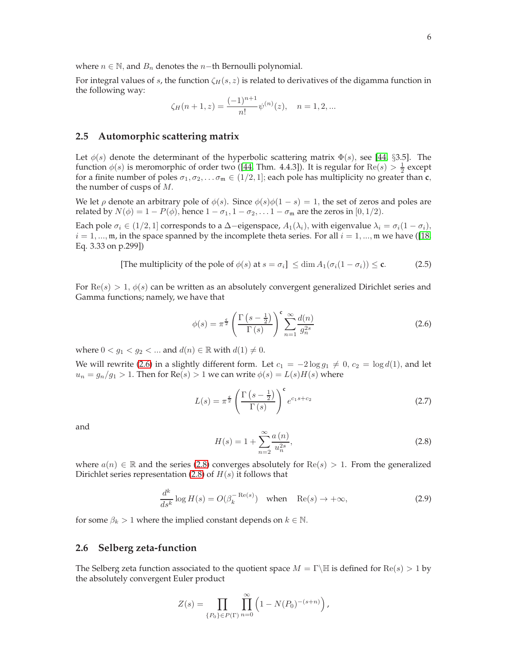where  $n \in \mathbb{N}$ , and  $B_n$  denotes the n−th Bernoulli polynomial.

For integral values of s, the function  $\zeta_H(s, z)$  is related to derivatives of the digamma function in the following way:

$$
\zeta_H(n+1,z) = \frac{(-1)^{n+1}}{n!} \psi^{(n)}(z), \quad n = 1, 2, \dots
$$

### <span id="page-5-2"></span>**2.5 Automorphic scattering matrix**

Let  $\phi(s)$  denote the determinant of the hyperbolic scattering matrix  $\Phi(s)$ , see [\[44,](#page-22-2) §3.5]. The function  $\phi(s)$  is meromorphic of order two ([\[44,](#page-22-2) Thm. 4.4.3]). It is regular for  $\text{Re}(s) > \frac{1}{2}$  except for a finite number of poles  $\sigma_1, \sigma_2, \ldots, \sigma_m \in (1/2, 1]$ ; each pole has multiplicity no greater than **c**, the number of cusps of M.

We let  $\rho$  denote an arbitrary pole of  $\phi(s)$ . Since  $\phi(s)\phi(1-s) = 1$ , the set of zeros and poles are related by  $N(\phi) = 1 - P(\phi)$ , hence  $1 - \sigma_1$ ,  $1 - \sigma_2$ , ...  $1 - \sigma_m$  are the zeros in [0, 1/2).

Each pole  $\sigma_i \in (1/2, 1]$  corresponds to a  $\Delta$ −eigenspace,  $A_1(\lambda_i)$ , with eigenvalue  $\lambda_i = \sigma_i(1 - \sigma_i)$ ,  $i = 1, ..., m$ , in the space spanned by the incomplete theta series. For all  $i = 1, ..., m$  we have ([\[18,](#page-20-13) Eq. 3.33 on p.299])

<span id="page-5-3"></span>[The multiplicity of the pole of 
$$
\phi(s)
$$
 at  $s = \sigma_i$ ]  $\leq \dim A_1(\sigma_i(1 - \sigma_i)) \leq \mathbf{c}.$  (2.5)

For  $\text{Re}(s) > 1$ ,  $\phi(s)$  can be written as an absolutely convergent generalized Dirichlet series and Gamma functions; namely, we have that

<span id="page-5-0"></span>
$$
\phi(s) = \pi^{\frac{\varsigma}{2}} \left( \frac{\Gamma\left(s - \frac{1}{2}\right)}{\Gamma\left(s\right)} \right)^{\varsigma} \sum_{n=1}^{\infty} \frac{d(n)}{g_n^{2s}} \tag{2.6}
$$

where  $0 < g_1 < g_2 < \dots$  and  $d(n) \in \mathbb{R}$  with  $d(1) \neq 0$ .

We will rewrite [\(2.6\)](#page-5-0) in a slightly different form. Let  $c_1 = -2 \log g_1 \neq 0$ ,  $c_2 = \log d(1)$ , and let  $u_n = g_n/g_1 > 1$ . Then for  $Re(s) > 1$  we can write  $\phi(s) = L(s)H(s)$  where

<span id="page-5-6"></span>
$$
L(s) = \pi^{\frac{\epsilon}{2}} \left( \frac{\Gamma\left(s - \frac{1}{2}\right)}{\Gamma\left(s\right)} \right)^{\epsilon} e^{c_1 s + c_2} \tag{2.7}
$$

and

<span id="page-5-1"></span>
$$
H(s) = 1 + \sum_{n=2}^{\infty} \frac{a(n)}{u_n^{2s}},
$$
\n(2.8)

where  $a(n) \in \mathbb{R}$  and the series [\(2.8\)](#page-5-1) converges absolutely for  $\text{Re}(s) > 1$ . From the generalized Dirichlet series representation [\(2.8\)](#page-5-1) of  $H(s)$  it follows that

<span id="page-5-5"></span>
$$
\frac{d^k}{ds^k} \log H(s) = O(\beta_k^{-\text{Re}(s)}) \quad \text{when} \quad \text{Re}(s) \to +\infty,
$$
\n(2.9)

for some  $\beta_k > 1$  where the implied constant depends on  $k \in \mathbb{N}$ .

### <span id="page-5-4"></span>**2.6 Selberg zeta-function**

The Selberg zeta function associated to the quotient space  $M = \Gamma \backslash \mathbb{H}$  is defined for  $\text{Re}(s) > 1$  by the absolutely convergent Euler product

$$
Z(s) = \prod_{\{P_0\} \in P(\Gamma)} \prod_{n=0}^{\infty} \left(1 - N(P_0)^{-(s+n)}\right),
$$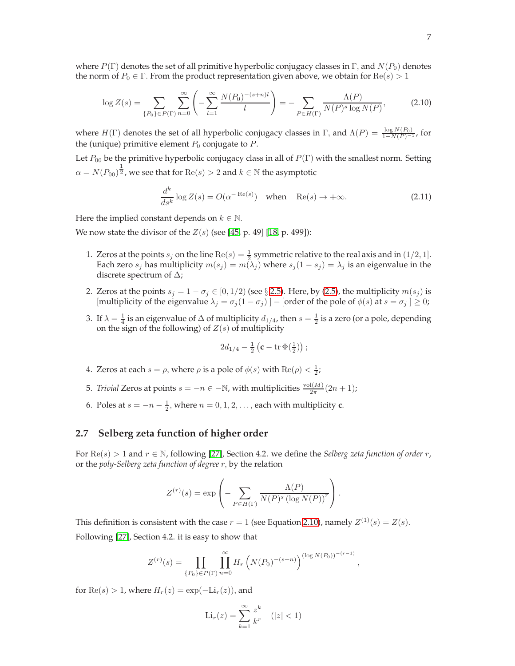where  $P(\Gamma)$  denotes the set of all primitive hyperbolic conjugacy classes in Γ, and  $N(P_0)$  denotes the norm of  $P_0 \in \Gamma$ . From the product representation given above, we obtain for  $\text{Re}(s) > 1$ 

<span id="page-6-0"></span>
$$
\log Z(s) = \sum_{\{P_0\} \in P(\Gamma)} \sum_{n=0}^{\infty} \left( -\sum_{l=1}^{\infty} \frac{N(P_0)^{-(s+n)l}}{l} \right) = -\sum_{P \in H(\Gamma)} \frac{\Lambda(P)}{N(P)^s \log N(P)},\tag{2.10}
$$

where  $H(\Gamma)$  denotes the set of all hyperbolic conjugacy classes in  $\Gamma$ , and  $\Lambda(P) = \frac{\log N(P_0)}{1 - N(P)^{-1}}$ , for the (unique) primitive element  $P_0$  conjugate to  $P$ .

Let  $P_{00}$  be the primitive hyperbolic conjugacy class in all of  $P(\Gamma)$  with the smallest norm. Setting  $\alpha = N(P_{00})^{\tfrac{1}{2}}$ , we see that for  $\mathrm{Re}(s)>2$  and  $k\in\mathbb{N}$  the asymptotic

<span id="page-6-1"></span>
$$
\frac{d^k}{ds^k} \log Z(s) = O(\alpha^{-\text{Re}(s)}) \quad \text{when} \quad \text{Re}(s) \to +\infty. \tag{2.11}
$$

Here the implied constant depends on  $k \in \mathbb{N}$ .

We now state the divisor of the  $Z(s)$  (see [\[45,](#page-22-3) p. 49] [\[18,](#page-20-13) p. 499]):

- 1. Zeros at the points  $s_j$  on the line  $\text{Re}(s) = \frac{1}{2}$  symmetric relative to the real axis and in  $(1/2, 1]$ . Each zero  $s_j$  has multiplicity  $m(s_j) = m(\lambda_j)$  where  $s_j(1 - s_j) = \lambda_j$  is an eigenvalue in the discrete spectrum of  $\Delta$ ;
- 2. Zeros at the points  $s_j = 1 \sigma_j \in [0, 1/2)$  (see § [2.5\)](#page-5-2). Here, by [\(2.5\)](#page-5-3), the multiplicity  $m(s_j)$  is [multiplicity of the eigenvalue  $\lambda_j = \sigma_j(1 - \sigma_j)$ ] – [order of the pole of  $\phi(s)$  at  $s = \sigma_j$ ]  $\geq 0$ ;
- 3. If  $\lambda = \frac{1}{4}$  is an eigenvalue of  $\Delta$  of multiplicity  $d_{1/4}$ , then  $s = \frac{1}{2}$  is a zero (or a pole, depending on the sign of the following) of  $Z(s)$  of multiplicity

$$
2d_{1/4}-\tfrac{1}{2}\left(\mathbf{c}-\operatorname{tr}\Phi\left(\tfrac{1}{2}\right)\right);
$$

- 4. Zeros at each  $s = \rho$ , where  $\rho$  is a pole of  $\phi(s)$  with  $\text{Re}(\rho) < \frac{1}{2}$ ;
- 5. *Trivial* Zeros at points  $s = -n \in \mathbb{N}$ , with multiplicities  $\frac{\text{vol}(M)}{2\pi}(2n+1)$ ;
- 6. Poles at  $s = -n \frac{1}{2}$ , where  $n = 0, 1, 2, \ldots$ , each with multiplicity **c**.

### **2.7 Selberg zeta function of higher order**

For  $\text{Re}(s) > 1$  and  $r \in \mathbb{N}$ , following [\[27\]](#page-21-16), Section 4.2. we define the *Selberg zeta function of order* r, or the *poly-Selberg zeta function of degree* r, by the relation

$$
Z^{(r)}(s) = \exp\left(-\sum_{P \in H(\Gamma)} \frac{\Lambda(P)}{N(P)^s (\log N(P))^r}\right).
$$

This definition is consistent with the case  $r = 1$  (see Equation [2.10\)](#page-6-0), namely  $Z^{(1)}(s) = Z(s)$ . Following [\[27\]](#page-21-16), Section 4.2. it is easy to show that

$$
Z^{(r)}(s) = \prod_{\{P_0\} \in P(\Gamma)} \prod_{n=0}^{\infty} H_r \left( N(P_0)^{-(s+n)} \right)^{(\log N(P_0))^{-(r-1)}},
$$

for  $\text{Re}(s) > 1$ , where  $H_r(z) = \exp(-\text{Li}_r(z))$ , and

$$
\operatorname{Li}_r(z) = \sum_{k=1}^{\infty} \frac{z^k}{k^r} \quad (|z| < 1)
$$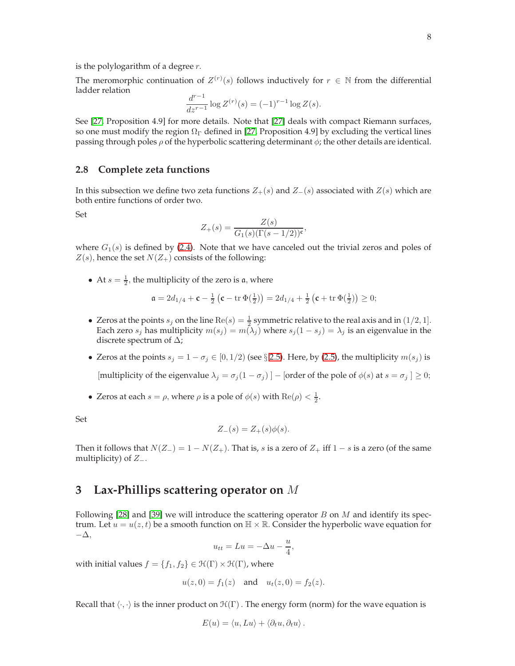The meromorphic continuation of  $Z^{(r)}(s)$  follows inductively for  $r \in \mathbb{N}$  from the differential ladder relation

$$
\frac{d^{r-1}}{dz^{r-1}}\log Z^{(r)}(s) = (-1)^{r-1}\log Z(s).
$$

See [\[27,](#page-21-16) Proposition 4.9] for more details. Note that [\[27\]](#page-21-16) deals with compact Riemann surfaces, so one must modify the region  $\Omega_{\Gamma}$  defined in [\[27,](#page-21-16) Proposition 4.9] by excluding the vertical lines passing through poles  $\rho$  of the hyperbolic scattering determinant  $\phi$ ; the other details are identical.

### <span id="page-7-0"></span>**2.8 Complete zeta functions**

In this subsection we define two zeta functions  $Z_{+}(s)$  and  $Z_{-}(s)$  associated with  $Z(s)$  which are both entire functions of order two.

Set

$$
Z_{+}(s) = \frac{Z(s)}{G_1(s)(\Gamma(s - 1/2))^{c}},
$$

where  $G_1(s)$  is defined by [\(2.4\)](#page-4-0). Note that we have canceled out the trivial zeros and poles of  $Z(s)$ , hence the set  $N(Z_+)$  consists of the following:

• At  $s = \frac{1}{2}$ , the multiplicity of the zero is a, where

$$
\mathfrak{a} = 2d_{1/4} + \mathfrak{c} - \frac{1}{2} \left( \mathfrak{c} - \text{tr} \, \Phi\left(\frac{1}{2}\right) \right) = 2d_{1/4} + \frac{1}{2} \left( \mathfrak{c} + \text{tr} \, \Phi\left(\frac{1}{2}\right) \right) \ge 0;
$$

- Zeros at the points  $s_j$  on the line  $\text{Re}(s) = \frac{1}{2}$  symmetric relative to the real axis and in  $(1/2, 1]$ . Each zero  $s_j$  has multiplicity  $m(s_j) = m(\lambda_j)$  where  $s_j(1 - s_j) = \lambda_j$  is an eigenvalue in the discrete spectrum of  $\Delta$ ;
- Zeros at the points  $s_j = 1 \sigma_j \in [0, 1/2)$  (see § [2.5\)](#page-5-2). Here, by [\(2.5\)](#page-5-3), the multiplicity  $m(s_j)$  is

[multiplicity of the eigenvalue  $\lambda_i = \sigma_i (1 - \sigma_i)$ ] – [order of the pole of  $\phi(s)$  at  $s = \sigma_i$ ]  $\geq 0$ ;

• Zeros at each  $s = \rho$ , where  $\rho$  is a pole of  $\phi(s)$  with  $\text{Re}(\rho) < \frac{1}{2}$ .

Set

$$
Z_{-}(s) = Z_{+}(s)\phi(s).
$$

Then it follows that  $N(Z_{-}) = 1 - N(Z_{+})$ . That is, s is a zero of  $Z_{+}$  iff  $1 - s$  is a zero (of the same multiplicity) of  $Z_-\$ .

# **3 Lax-Phillips scattering operator on** M

Following  $[28]$  and  $[39]$  we will introduce the scattering operator B on M and identify its spectrum. Let  $u = u(z, t)$  be a smooth function on  $\mathbb{H} \times \mathbb{R}$ . Consider the hyperbolic wave equation for −∆,

$$
u_{tt} = Lu = -\Delta u - \frac{u}{4},
$$

with initial values  $f = \{f_1, f_2\} \in \mathcal{H}(\Gamma) \times \mathcal{H}(\Gamma)$ , where

$$
u(z, 0) = f_1(z)
$$
 and  $u_t(z, 0) = f_2(z)$ .

Recall that  $\langle \cdot, \cdot \rangle$  is the inner product on  $\mathcal{H}(\Gamma)$ . The energy form (norm) for the wave equation is

$$
E(u) = \langle u, Lu \rangle + \langle \partial_t u, \partial_t u \rangle.
$$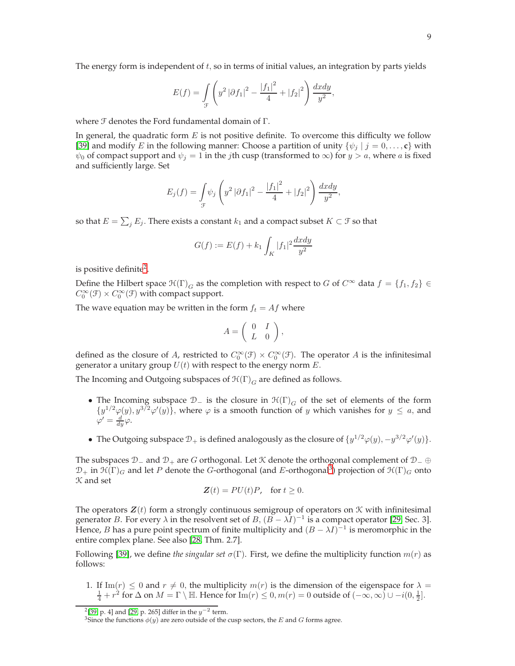The energy form is independent of  $t$ , so in terms of initial values, an integration by parts yields

$$
E(f) = \int_{\mathcal{F}} \left( y^2 |\partial f_1|^2 - \frac{|f_1|^2}{4} + |f_2|^2 \right) \frac{dxdy}{y^2},
$$

where  $\mathcal F$  denotes the Ford fundamental domain of  $\Gamma$ .

In general, the quadratic form  $E$  is not positive definite. To overcome this difficulty we follow [\[39\]](#page-21-17) and modify E in the following manner: Choose a partition of unity  $\{\psi_i \mid j = 0, \ldots, c\}$  with  $\psi_0$  of compact support and  $\psi_j = 1$  in the *j*th cusp (transformed to  $\infty$ ) for  $y > a$ , where a is fixed and sufficiently large. Set

$$
E_j(f) = \int_{\mathcal{F}} \psi_j \left( y^2 |\partial f_1|^2 - \frac{|f_1|^2}{4} + |f_2|^2 \right) \frac{dxdy}{y^2},
$$

so that  $E = \sum_j E_j$ . There exists a constant  $k_1$  and a compact subset  $K \subset \mathcal{F}$  so that

$$
G(f) := E(f) + k_1 \int_K |f_1|^2 \frac{dxdy}{y^2}
$$

is positive definite<sup>2</sup>.

Define the Hilbert space  $\mathcal{H}(\Gamma)_G$  as the completion with respect to G of  $C^{\infty}$  data  $f = \{f_1, f_2\} \in$  $C_0^{\infty}(\mathcal{F}) \times C_0^{\infty}(\mathcal{F})$  with compact support.

The wave equation may be written in the form  $f_t = Af$  where

$$
A=\left(\begin{array}{cc} 0 & I \\ L & 0 \end{array}\right),
$$

defined as the closure of A, restricted to  $C_0^{\infty}(\mathcal{F}) \times C_0^{\infty}(\mathcal{F})$ . The operator A is the infinitesimal generator a unitary group  $U(t)$  with respect to the energy norm  $E$ .

The Incoming and Outgoing subspaces of  $\mathfrak{H}(\Gamma)_{G}$  are defined as follows.

- The Incoming subspace  $\mathcal{D}_-$  is the closure in  $\mathcal{H}(\Gamma)_G$  of the set of elements of the form  $\{y^{1/2}\varphi(y), y^{3/2}\varphi'(y)\}\,$ , where  $\varphi$  is a smooth function of y which vanishes for  $y \leq a$ , and  $\varphi' = \frac{d}{dy}\varphi.$
- The Outgoing subspace  $\mathcal{D}_+$  is defined analogously as the closure of  $\{y^{1/2}\varphi(y), -y^{3/2}\varphi'(y)\}.$

The subspaces  $\mathcal{D}_-$  and  $\mathcal{D}_+$  are G orthogonal. Let K denote the orthogonal complement of  $\mathcal{D}_-\oplus$  $\mathcal{D}_+$  in  $\mathfrak{H}(\Gamma)_G$  and let P denote the G-orthogonal (and E-orthogonal<sup>3</sup>) projection of  $\mathfrak{H}(\Gamma)_G$  onto K and set

$$
\mathbf{Z}(t) = PU(t)P, \text{ for } t \ge 0.
$$

The operators  $\mathbf{Z}(t)$  form a strongly continuous semigroup of operators on  $\mathcal K$  with infinitesimal generator *B*. For every  $\lambda$  in the resolvent set of *B*,  $(B - \lambda I)^{-1}$  is a compact operator [\[29,](#page-21-14) Sec. 3]. Hence, *B* has a pure point spectrum of finite multiplicity and  $(B - \lambda I)^{-1}$  is meromorphic in the entire complex plane. See also [\[28,](#page-21-13) Thm. 2.7].

Following [\[39\]](#page-21-17), we define *the singular set*  $\sigma(\Gamma)$ . First, we define the multiplicity function  $m(r)$  as follows:

1. If Im(r)  $\leq 0$  and  $r \neq 0$ , the multiplicity  $m(r)$  is the dimension of the eigenspace for  $\lambda =$  $\frac{1}{4} + r^2$  for  $\Delta$  on  $M = \Gamma \setminus \mathbb{H}$ . Hence for  $\text{Im}(r) \leq 0, m(r) = 0$  outside of  $(-\infty, \infty) \cup -i(0, \frac{1}{2}]$ .

<sup>&</sup>lt;sup>2</sup>[\[39,](#page-21-17) p. 4] and [\[29,](#page-21-14) p. 265] differ in the  $y^{-2}$  term.

 $^3$  Since the functions  $\phi(y)$  are zero outside of the cusp sectors, the  $E$  and  $G$  forms agree.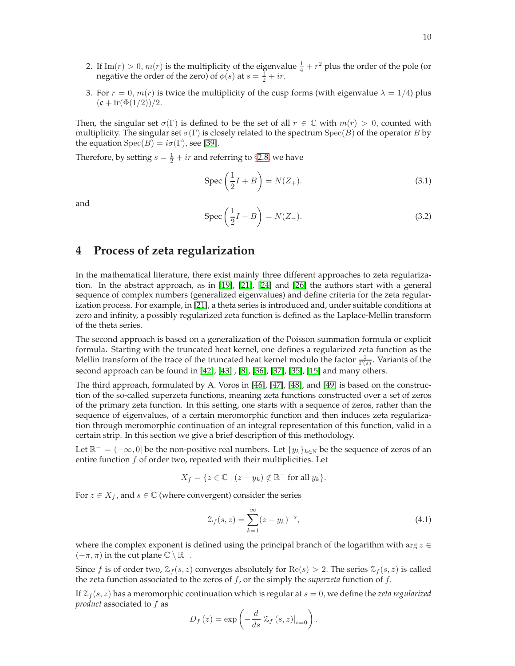- 2. If  $\text{Im}(r) > 0$ ,  $m(r)$  is the multiplicity of the eigenvalue  $\frac{1}{4} + r^2$  plus the order of the pole (or negative the order of the zero) of  $\phi(s)$  at  $s = \frac{1}{2} + ir$ .
- 3. For  $r = 0$ ,  $m(r)$  is twice the multiplicity of the cusp forms (with eigenvalue  $\lambda = 1/4$ ) plus  $(c + tr(\Phi(1/2))/2)$ .

Then, the singular set  $\sigma(\Gamma)$  is defined to be the set of all  $r \in \mathbb{C}$  with  $m(r) > 0$ , counted with multiplicity. The singular set  $\sigma(\Gamma)$  is closely related to the spectrum  $Spec(B)$  of the operator B by the equation  $Spec(B) = i\sigma(\Gamma)$ , see [\[39\]](#page-21-17).

Therefore, by setting  $s = \frac{1}{2} + ir$  and referring to §[2.8,](#page-7-0) we have

$$
\operatorname{Spec} \left( \frac{1}{2} I + B \right) = N(Z_+). \tag{3.1}
$$

and

$$
\operatorname{Spec} \left( \frac{1}{2}I - B \right) = N(Z_{-}). \tag{3.2}
$$

# **4 Process of zeta regularization**

In the mathematical literature, there exist mainly three different approaches to zeta regularization. In the abstract approach, as in [\[19\]](#page-20-14), [\[21\]](#page-20-15), [\[24\]](#page-21-18) and [\[26\]](#page-21-19) the authors start with a general sequence of complex numbers (generalized eigenvalues) and define criteria for the zeta regularization process. For example, in [\[21\]](#page-20-15), a theta series is introduced and, under suitable conditions at zero and infinity, a possibly regularized zeta function is defined as the Laplace-Mellin transform of the theta series.

The second approach is based on a generalization of the Poisson summation formula or explicit formula. Starting with the truncated heat kernel, one defines a regularized zeta function as the Mellin transform of the trace of the truncated heat kernel modulo the factor  $\frac{1}{\Gamma(s)}$ . Variants of the second approach can be found in [\[42\]](#page-21-2), [\[43\]](#page-21-15) , [\[8\]](#page-20-4), [\[36\]](#page-21-20), [\[37\]](#page-21-11), [\[35\]](#page-21-21), [\[15\]](#page-20-5) and many others.

The third approach, formulated by A. Voros in [\[46\]](#page-22-4), [\[47\]](#page-22-5), [\[48\]](#page-22-6), and [\[49\]](#page-22-7) is based on the construction of the so-called superzeta functions, meaning zeta functions constructed over a set of zeros of the primary zeta function. In this setting, one starts with a sequence of zeros, rather than the sequence of eigenvalues, of a certain meromorphic function and then induces zeta regularization through meromorphic continuation of an integral representation of this function, valid in a certain strip. In this section we give a brief description of this methodology.

Let  $\mathbb{R}^- = (-\infty, 0]$  be the non-positive real numbers. Let  $\{y_k\}_{k \in \mathbb{N}}$  be the sequence of zeros of an entire function  $f$  of order two, repeated with their multiplicities. Let

$$
X_f = \{ z \in \mathbb{C} \mid (z - y_k) \notin \mathbb{R}^- \text{ for all } y_k \}.
$$

For  $z \in X_f$ , and  $s \in \mathbb{C}$  (where convergent) consider the series

$$
\mathcal{Z}_f(s, z) = \sum_{k=1}^{\infty} (z - y_k)^{-s},
$$
\n(4.1)

where the complex exponent is defined using the principal branch of the logarithm with arg  $z \in$  $(-\pi, \pi)$  in the cut plane  $\mathbb{C} \setminus \mathbb{R}^-$ .

Since f is of order two,  $\mathcal{Z}_f(s, z)$  converges absolutely for  $\text{Re}(s) > 2$ . The series  $\mathcal{Z}_f(s, z)$  is called the zeta function associated to the zeros of f, or the simply the *superzeta* function of f.

If  $\mathcal{Z}_f(s, z)$  has a meromorphic continuation which is regular at  $s = 0$ , we define the *zeta regularized product* associated to f as

$$
D_f(z) = \exp\left(-\frac{d}{ds} \left. \mathcal{Z}_f(s, z)\right|_{s=0}\right).
$$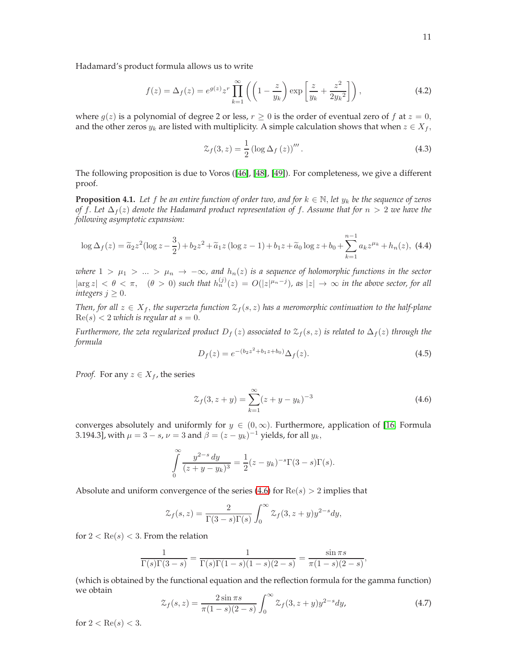Hadamard's product formula allows us to write

$$
f(z) = \Delta_f(z) = e^{g(z)} z^r \prod_{k=1}^{\infty} \left( \left( 1 - \frac{z}{y_k} \right) \exp\left[ \frac{z}{y_k} + \frac{z^2}{2y_k^2} \right] \right),\tag{4.2}
$$

where  $q(z)$  is a polynomial of degree 2 or less,  $r \ge 0$  is the order of eventual zero of f at  $z = 0$ , and the other zeros  $y_k$  are listed with multiplicity. A simple calculation shows that when  $z \in X_f$ ,

<span id="page-10-3"></span>
$$
\mathcal{Z}_f(3, z) = \frac{1}{2} \left( \log \Delta_f \left( z \right) \right)'''. \tag{4.3}
$$

The following proposition is due to Voros ([\[46\]](#page-22-4), [\[48\]](#page-22-6), [\[49\]](#page-22-7)). For completeness, we give a different proof.

<span id="page-10-5"></span>**Proposition 4.1.** *Let* f *be an entire function of order two, and for*  $k \in \mathbb{N}$ *, let*  $y_k$  *be the sequence of zeros of* f. Let  $\Delta_f(z)$  denote the Hadamard product representation of f. Assume that for  $n > 2$  we have the *following asymptotic expansion:*

<span id="page-10-2"></span>
$$
\log \Delta_f(z) = \tilde{a}_2 z^2 (\log z - \frac{3}{2}) + b_2 z^2 + \tilde{a}_1 z (\log z - 1) + b_1 z + \tilde{a}_0 \log z + b_0 + \sum_{k=1}^{n-1} a_k z^{\mu_k} + h_n(z), \tag{4.4}
$$

*where*  $1 > \mu_1 > ... > \mu_n \rightarrow -\infty$ , and  $h_n(z)$  *is a sequence of holomorphic functions in the sector*  $|\arg z| < \theta < \pi$ ,  $(\theta > 0)$  such that  $h_n^{(j)}(z) = O(|z|^{\mu_n - j})$ , as  $|z| \to \infty$  in the above sector, for all *integers*  $j \geq 0$ *.* 

*Then, for all*  $z \in X_f$ , *the superzeta function*  $\mathcal{Z}_f(s, z)$  *has a meromorphic continuation to the half-plane*  $\text{Re}(s) < 2$  *which is regular at*  $s = 0$ .

*Furthermore, the zeta regularized product*  $D_f(z)$  *associated to*  $\mathcal{Z}_f(s,z)$  *is related to*  $\Delta_f(z)$  *through the formula*

<span id="page-10-4"></span>
$$
D_f(z) = e^{-(b_2 z^2 + b_1 z + b_0)} \Delta_f(z).
$$
 (4.5)

*Proof.* For any  $z \in X_f$ , the series

<span id="page-10-0"></span>
$$
\mathcal{Z}_f(3, z + y) = \sum_{k=1}^{\infty} (z + y - y_k)^{-3}
$$
\n(4.6)

converges absolutely and uniformly for  $y \in (0, \infty)$ . Furthermore, application of [\[16,](#page-20-16) Formula 3.194.3], with  $\mu = 3 - s$ ,  $\nu = 3$  and  $\beta = (z - y_k)^{-1}$  yields, for all  $y_k$ ,

$$
\int_{0}^{\infty} \frac{y^{2-s} dy}{(z+y-y_k)^3} = \frac{1}{2}(z-y_k)^{-s} \Gamma(3-s) \Gamma(s).
$$

Absolute and uniform convergence of the series [\(4.6\)](#page-10-0) for  $Re(s) > 2$  implies that

$$
\mathcal{Z}_f(s,z) = \frac{2}{\Gamma(3-s)\Gamma(s)} \int_0^\infty \mathcal{Z}_f(3,z+y) y^{2-s} dy,
$$

for  $2 < \text{Re}(s) < 3$ . From the relation

$$
\frac{1}{\Gamma(s)\Gamma(3-s)} = \frac{1}{\Gamma(s)\Gamma(1-s)(1-s)(2-s)} = \frac{\sin \pi s}{\pi(1-s)(2-s)},
$$

(which is obtained by the functional equation and the reflection formula for the gamma function) we obtain

<span id="page-10-1"></span>
$$
\mathcal{Z}_f(s,z) = \frac{2\sin\pi s}{\pi(1-s)(2-s)} \int_0^\infty \mathcal{Z}_f(3,z+y) y^{2-s} dy,\tag{4.7}
$$

for  $2 < \text{Re}(s) < 3$ .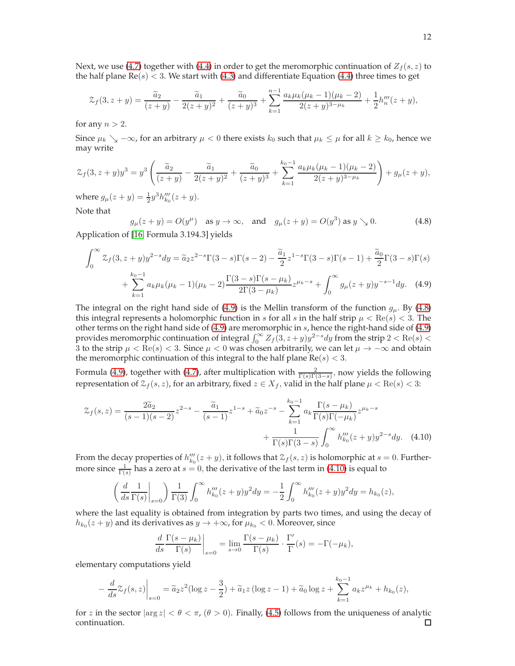Next, we use [\(4.7\)](#page-10-1) together with [\(4.4\)](#page-10-2) in order to get the meromorphic continuation of  $Z_f(s, z)$  to the half plane  $Re(s) < 3$ . We start with [\(4.3\)](#page-10-3) and differentiate Equation [\(4.4\)](#page-10-2) three times to get

$$
\mathcal{Z}_f(3, z+y) = \frac{\widetilde{a}_2}{(z+y)} - \frac{\widetilde{a}_1}{2(z+y)^2} + \frac{\widetilde{a}_0}{(z+y)^3} + \sum_{k=1}^{n-1} \frac{a_k \mu_k (\mu_k - 1)(\mu_k - 2)}{2(z+y)^{3-\mu_k}} + \frac{1}{2} h_n'''(z+y),
$$

for any  $n > 2$ .

Since  $\mu_k \searrow -\infty$ , for an arbitrary  $\mu < 0$  there exists  $k_0$  such that  $\mu_k \le \mu$  for all  $k \ge k_0$ , hence we may write

$$
\mathcal{Z}_f(3, z+y)y^3 = y^3 \left( \frac{\widetilde{a}_2}{(z+y)} - \frac{\widetilde{a}_1}{2(z+y)^2} + \frac{\widetilde{a}_0}{(z+y)^3} + \sum_{k=1}^{k_0-1} \frac{a_k \mu_k (\mu_k - 1)(\mu_k - 2)}{2(z+y)^{3-\mu_k}} \right) + g_\mu(z+y),
$$

where  $g_{\mu}(z+y) = \frac{1}{2}y^3 h_{k_0}^{\prime\prime\prime}(z+y)$ . Note that

<span id="page-11-1"></span><span id="page-11-0"></span> $g_{\mu}(z+y) = O(y^{\mu})$  as  $y \to \infty$ , and  $g_{\mu}(z+y) = O(y^3)$  as  $y \searrow 0$ . (4.8)

Application of [\[16,](#page-20-16) Formula 3.194.3] yields

$$
\int_0^\infty \mathcal{Z}_f(3, z + y) y^{2-s} dy = \tilde{a}_2 z^{2-s} \Gamma(3-s) \Gamma(s-2) - \frac{\tilde{a}_1}{2} z^{1-s} \Gamma(3-s) \Gamma(s-1) + \frac{\tilde{a}_0}{2} \Gamma(3-s) \Gamma(s) + \sum_{k=1}^{k_0-1} a_k \mu_k (\mu_k - 1) (\mu_k - 2) \frac{\Gamma(3-s) \Gamma(s-\mu_k)}{2 \Gamma(3-\mu_k)} z^{\mu_k - s} + \int_0^\infty g_\mu(z+y) y^{-s-1} dy. \tag{4.9}
$$

The integral on the right hand side of [\(4.9\)](#page-11-0) is the Mellin transform of the function  $g_{\mu}$ . By [\(4.8\)](#page-11-1) this integral represents a holomorphic function in s for all s in the half strip  $\mu < \text{Re}(s) < 3$ . The other terms on the right hand side of  $(4.9)$  are meromorphic in s, hence the right-hand side of  $(4.9)$ provides meromorphic continuation of integral  $\int_0^\infty Z_f(3, z + y)y^{2-s}dy$  from the strip  $2 < \text{Re}(s) <$ 3 to the strip  $\mu < \text{Re}(s) < 3$ . Since  $\mu < 0$  was chosen arbitrarily, we can let  $\mu \to -\infty$  and obtain the meromorphic continuation of this integral to the half plane  $Re(s) < 3$ .

Formula [\(4.9\)](#page-11-0), together with [\(4.7\)](#page-10-1), after multiplication with  $\frac{2}{\Gamma(s)\Gamma(3-s)}$ , now yields the following representation of  $\mathcal{Z}_f(s, z)$ , for an arbitrary, fixed  $z \in X_f$ , valid in the half plane  $\mu < \text{Re}(s) < 3$ :

$$
\mathcal{Z}_f(s,z) = \frac{2\tilde{a}_2}{(s-1)(s-2)}z^{2-s} - \frac{\tilde{a}_1}{(s-1)}z^{1-s} + \tilde{a}_0 z^{-s} - \sum_{k=1}^{k_0-1} a_k \frac{\Gamma(s-\mu_k)}{\Gamma(s)\Gamma(-\mu_k)}z^{\mu_k-s} + \frac{1}{\Gamma(s)\Gamma(3-s)}\int_0^\infty h_{k_0}'''(z+y)y^{2-s}dy. \tag{4.10}
$$

From the decay properties of  $h''_{k_0}(z+y)$ , it follows that  $\mathcal{Z}_f(s,z)$  is holomorphic at  $s=0$ . Furthermore since  $\frac{1}{\Gamma(s)}$  has a zero at  $s = 0$ , the derivative of the last term in [\(4.10\)](#page-11-2) is equal to

$$
\left(\frac{d}{ds}\frac{1}{\Gamma(s)}\bigg|_{s=0}\right)\frac{1}{\Gamma(3)}\int_0^\infty h_{k_0}'''(z+y)y^2dy = -\frac{1}{2}\int_0^\infty h_{k_0}'''(z+y)y^2dy = h_{k_0}(z),
$$

where the last equality is obtained from integration by parts two times, and using the decay of  $h_{k_0}(z + y)$  and its derivatives as  $y \to +\infty$ , for  $\mu_{k_0} < 0$ . Moreover, since

<span id="page-11-2"></span>
$$
\frac{d}{ds} \frac{\Gamma(s - \mu_k)}{\Gamma(s)} \bigg|_{s=0} = \lim_{s \to 0} \frac{\Gamma(s - \mu_k)}{\Gamma(s)} \cdot \frac{\Gamma'}{\Gamma}(s) = -\Gamma(-\mu_k),
$$

elementary computations yield

$$
-\frac{d}{ds}\mathcal{Z}_f(s,z)\Big|_{s=0} = \widetilde{a}_2 z^2 (\log z - \frac{3}{2}) + \widetilde{a}_1 z (\log z - 1) + \widetilde{a}_0 \log z + \sum_{k=1}^{k_0 - 1} a_k z^{\mu_k} + h_{k_0}(z),
$$

for *z* in the sector  $|\arg z| < \theta < \pi$ ,  $(\theta > 0)$ . Finally, [\(4.5\)](#page-10-4) follows from the uniqueness of analytic continuation. continuation.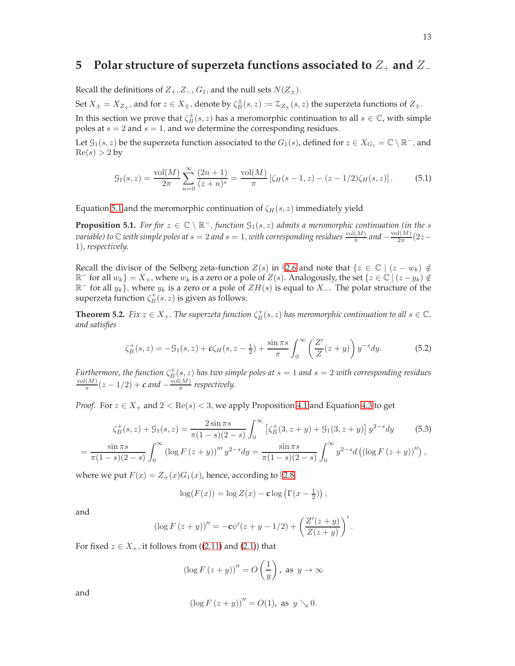# **5** Polar structure of superzeta functions associated to  $Z_+$  and  $Z_-$

Recall the definitions of  $Z_+, Z_-, G_1$ , and the null sets  $N(Z_{\pm}).$ 

Set  $X_{\pm} = X_{Z_{\pm}}$ , and for  $z \in X_{\pm}$ , denote by  $\zeta_B^{\pm}(s, z) := \mathcal{Z}_{Z_{\pm}}(s, z)$  the superzeta functions of  $Z_{\pm}$ .

In this section we prove that  $\zeta_B^{\pm}(s, z)$  has a meromorphic continuation to all  $s \in \mathbb{C}$ , with simple poles at  $s = 2$  and  $s = 1$ , and we determine the corresponding residues.

Let  $\mathcal{G}_1(s, z)$  be the superzeta function associated to the  $G_1(s)$ , defined for  $z \in X_{G_1} = \mathbb{C} \setminus \mathbb{R}^-,$  and  $Re(s) > 2$  by

<span id="page-12-0"></span>
$$
G_1(s,z) = \frac{\text{vol}(M)}{2\pi} \sum_{n=0}^{\infty} \frac{(2n+1)}{(z+n)^s} = \frac{\text{vol}(M)}{\pi} \left[ \zeta_H(s-1,z) - (z-1/2)\zeta_H(s,z) \right]. \tag{5.1}
$$

Equation [5.1](#page-12-0) and the meromorphic continuation of  $\zeta_H(s, z)$  immediately yield

<span id="page-12-3"></span>**Proposition 5.1.** *For for*  $z \in \mathbb{C} \setminus \mathbb{R}^-,$  *function*  $\mathcal{G}_1(s, z)$  *admits a meromorphic continuation (in the s variable)* to  $\mathbb C$  *with simple poles at*  $s = 2$  *and*  $s = 1$ *, with corresponding residues*  $\frac{\text{vol}(M)}{\pi}$  *and*  $-\frac{\text{vol}(M)}{2\pi}$  $rac{1(M)}{2\pi}(2z-$ 1)*, respectively.*

Recall the divisor of the Selberg zeta-function  $Z(s)$  in §[2.6](#page-5-4) and note that  $\{z \in \mathbb{C} \mid (z - w_k) \notin \mathbb{C}\}$  $\mathbb{R}^-$  for all  $w_k$ } =  $X_+$ , where  $w_k$  is a zero or a pole of  $Z(s)$ . Analogously, the set { $z \in \mathbb{C} \mid (z - y_k) \notin \mathbb{R}$  $\mathbb{R}^-$  for all  $y_k$ }, where  $y_k$  is a zero or a pole of  $ZH(s)$  is equal to  $X_-.$  The polar structure of the superzeta function  $\zeta_B^+(s,z)$  is given as follows:

<span id="page-12-4"></span>**Theorem 5.2.** *Fix*  $z \in X_+$ *. The superzeta function*  $\zeta_B^+(s, z)$  *has meromorphic continuation to all*  $s \in \mathbb{C}$ *, and satisfies*

<span id="page-12-2"></span>
$$
\zeta_B^+(s,z) = -\mathcal{G}_1(s,z) + c\zeta_H(s,z-\frac{1}{2}) + \frac{\sin \pi s}{\pi} \int_0^\infty \left(\frac{Z'}{Z}(z+y)\right) y^{-s} dy. \tag{5.2}
$$

Furthermore, the function  $\zeta_B^+(s,z)$  has two simple poles at  $s=1$  and  $s=2$  with corresponding residues  $\operatorname{vol}(M)$  $\frac{(M)}{\pi}(z-1/2)+c$  and  $-\frac{\text{vol}(M)}{\pi}$  $\frac{1}{\pi}$  respectively.

*Proof.* For  $z \in X_+$  and  $2 < \text{Re}(s) < 3$ , we apply Proposition [4.1](#page-10-5) and Equation [4.3](#page-10-3) to get

$$
\zeta_B^+(s, z) + \mathcal{G}_1(s, z) = \frac{2 \sin \pi s}{\pi (1 - s)(2 - s)} \int_0^\infty \left[ \zeta_B^+(3, z + y) + \mathcal{G}_1(3, z + y) \right] y^{2 - s} dy \tag{5.3}
$$

$$
= \frac{\sin \pi s}{\pi (1-s)(2-s)} \int_0^\infty \left( \log F (z+y) \right)''' y^{2-s} dy = \frac{\sin \pi s}{\pi (1-s)(2-s)} \int_0^\infty y^{2-s} d \left( \left( \log F (z+y) \right)'' \right),
$$

where we put  $F(x) = Z_+(x)G_1(x)$ , hence, according to §[2.8](#page-7-0)

<span id="page-12-1"></span>
$$
\log(F(x)) = \log Z(x) - \mathbf{c} \log \left( \Gamma(x - \frac{1}{2}) \right),\,
$$

and

$$
(\log F (z + y))'' = -c\psi'(z + y - 1/2) + \left(\frac{Z'(z + y)}{Z(z + y)}\right)'.
$$

For fixed  $z \in X_+$ , it follows from ([\(2.11\)](#page-6-1) and [\(2.1\)](#page-3-0)) that

$$
(\log F (z + y))'' = O\left(\frac{1}{y}\right), \text{ as } y \to \infty
$$

and

$$
(\log F (z + y))'' = O(1)
$$
, as  $y \searrow 0$ .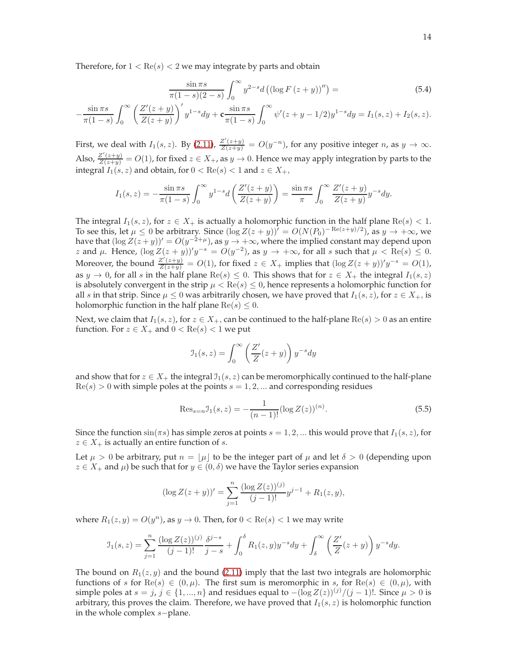Therefore, for  $1 < \text{Re}(s) < 2$  we may integrate by parts and obtain

$$
\frac{\sin \pi s}{\pi (1 - s)(2 - s)} \int_0^\infty y^{2 - s} d \left( (\log F (z + y))'' \right) =
$$
\n(5.4)

$$
-\frac{\sin \pi s}{\pi (1-s)} \int_0^\infty \left(\frac{Z'(z+y)}{Z(z+y)}\right)' y^{1-s} dy + \mathbf{c} \frac{\sin \pi s}{\pi (1-s)} \int_0^\infty \psi'(z+y-1/2) y^{1-s} dy = I_1(s,z) + I_2(s,z).
$$

First, we deal with  $I_1(s, z)$ . By [\(2.11\)](#page-6-1),  $\frac{Z'(z+y)}{Z(z+y)} = O(y^{-n})$ , for any positive integer n, as  $y \to \infty$ . Also,  $\frac{Z'(z+y)}{Z(z+y)} = O(1)$ , for fixed  $z \in X_+$ , as  $y \to 0$ . Hence we may apply integration by parts to the integral  $I_1(s, z)$  and obtain, for  $0 < \text{Re}(s) < 1$  and  $z \in X_+$ ,

$$
I_1(s,z) = -\frac{\sin \pi s}{\pi (1-s)} \int_0^\infty y^{1-s} d\left(\frac{Z'(z+y)}{Z(z+y)}\right) = \frac{\sin \pi s}{\pi} \int_0^\infty \frac{Z'(z+y)}{Z(z+y)} y^{-s} dy.
$$

The integral  $I_1(s, z)$ , for  $z \in X_+$  is actually a holomorphic function in the half plane Re(s) < 1. To see this, let  $\mu \leq 0$  be arbitrary. Since  $(\log Z(z + y))' = O(N(P_0)^{-\operatorname{Re}(z+y)/2})$ , as  $y \to +\infty$ , we have that  $(\log Z(z+y))' = O(y^{-2+\mu})$ , as  $y \to +\infty$ , where the implied constant may depend upon z and  $\mu$ . Hence,  $(\log Z(z + y))^t y^{-s} = O(y^{-2})$ , as  $y \to +\infty$ , for all s such that  $\mu < \text{Re}(s) \leq 0$ . Moreover, the bound  $\frac{Z'(z+y)}{Z(z+y)} = O(1)$ , for fixed  $z \in X_+$  implies that  $(\log Z(z+y))'y^{-s} = O(1)$ , as  $y \to 0$ , for all s in the half plane Re(s)  $\leq 0$ . This shows that for  $z \in X_+$  the integral  $I_1(s, z)$ is absolutely convergent in the strip  $\mu < \text{Re}(s) \leq 0$ , hence represents a holomorphic function for all s in that strip. Since  $\mu \leq 0$  was arbitrarily chosen, we have proved that  $I_1(s, z)$ , for  $z \in X_+$ , is holomorphic function in the half plane  $\text{Re}(s) \leq 0$ .

Next, we claim that  $I_1(s, z)$ , for  $z \in X_+$ , can be continued to the half-plane  $\text{Re}(s) > 0$  as an entire function. For  $z \in X_+$  and  $0 < \text{Re}(s) < 1$  we put

$$
\mathcal{I}_1(s,z) = \int_0^\infty \left(\frac{Z'}{Z}(z+y)\right) y^{-s} dy
$$

and show that for  $z \in X_+$  the integral  $\mathfrak{I}_1(s, z)$  can be meromorphically continued to the half-plane  $Re(s) > 0$  with simple poles at the points  $s = 1, 2, ...$  and corresponding residues

$$
\text{Res}_{s=n} \mathcal{I}_1(s, z) = -\frac{1}{(n-1)!} (\log Z(z))^{(n)}.
$$
\n(5.5)

Since the function  $\sin(\pi s)$  has simple zeros at points  $s = 1, 2, ...$  this would prove that  $I_1(s, z)$ , for  $z \in X_+$  is actually an entire function of *s*.

Let  $\mu > 0$  be arbitrary, put  $n = |\mu|$  to be the integer part of  $\mu$  and let  $\delta > 0$  (depending upon  $z \in X_+$  and  $\mu$ ) be such that for  $y \in (0, \delta)$  we have the Taylor series expansion

$$
(\log Z(z+y))' = \sum_{j=1}^{n} \frac{(\log Z(z))^{(j)}}{(j-1)!} y^{j-1} + R_1(z,y),
$$

where  $R_1(z, y) = O(y^n)$ , as  $y \to 0$ . Then, for  $0 < \text{Re}(s) < 1$  we may write

$$
\mathcal{I}_1(s,z) = \sum_{j=1}^n \frac{(\log Z(z))^{(j)}}{(j-1)!} \frac{\delta^{j-s}}{j-s} + \int_0^\delta R_1(z,y) y^{-s} dy + \int_\delta^\infty \left(\frac{Z'}{Z}(z+y)\right) y^{-s} dy.
$$

The bound on  $R_1(z, y)$  and the bound [\(2.11\)](#page-6-1) imply that the last two integrals are holomorphic functions of s for  $\text{Re}(s) \in (0, \mu)$ . The first sum is meromorphic in s, for  $\text{Re}(s) \in (0, \mu)$ , with simple poles at  $s = j$ ,  $j \in \{1, ..., n\}$  and residues equal to  $-(\log Z(z))^{(j)}/(j-1)!$ . Since  $\mu > 0$  is arbitrary, this proves the claim. Therefore, we have proved that  $I_1(s, z)$  is holomorphic function in the whole complex s−plane.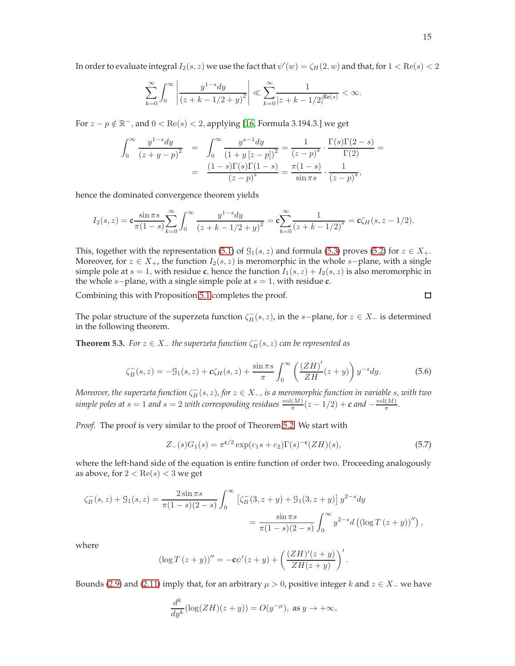In order to evaluate integral  $I_2(s,z)$  we use the fact that  $\psi'(w)=\zeta_H(2,w)$  and that, for  $1<\text{Re}(s)< 2$ 

$$
\sum_{k=0}^{\infty} \int_0^{\infty} \left| \frac{y^{1-s} dy}{(z + k - 1/2 + y)^2} \right| \ll \sum_{k=0}^{\infty} \frac{1}{|z + k - 1/2|^{Re(s)}} < \infty.
$$

For  $z - p \notin \mathbb{R}^-$ , and  $0 < \text{Re}(s) < 2$ , applying [\[16,](#page-20-16) Formula 3.194.3.] we get

$$
\int_0^\infty \frac{y^{1-s} dy}{(z+y-p)^2} = \int_0^\infty \frac{y^{s-1} dy}{(1+y(z-p))^2} = \frac{1}{(z-p)^s} \cdot \frac{\Gamma(s)\Gamma(2-s)}{\Gamma(2)} = \frac{(1-s)\Gamma(s)\Gamma(1-s)}{(z-p)^s} = \frac{\pi(1-s)}{\sin \pi s} \cdot \frac{1}{(z-p)^s},
$$

hence the dominated convergence theorem yields

$$
I_2(s,z) = \mathbf{c} \frac{\sin \pi s}{\pi (1-s)} \sum_{k=0}^{\infty} \int_0^{\infty} \frac{y^{1-s} dy}{(z+k-1/2+y)^2} = \mathbf{c} \sum_{k=0}^{\infty} \frac{1}{(z+k-1/2)^s} = \mathbf{c} \zeta_H(s, z-1/2).
$$

This, together with the representation [\(5.1\)](#page-12-0) of  $\mathcal{G}_1(s, z)$  and formula [\(5.3\)](#page-12-1) proves [\(5.2\)](#page-12-2) for  $z \in X_+$ . Moreover, for  $z \in X_+$ , the function  $I_2(s, z)$  is meromorphic in the whole s–plane, with a single simple pole at  $s = 1$ , with residue **c**, hence the function  $I_1(s, z) + I_2(s, z)$  is also meromorphic in the whole s−plane, with a single simple pole at s = 1, with residue **c**.

Combining this with Proposition [5.1](#page-12-3) completes the proof.

The polar structure of the superzeta function  $\zeta_B^-(s, z)$ , in the s-plane, for  $z \in X_-\$  is determined in the following theorem.

<span id="page-14-1"></span>**Theorem 5.3.** *For*  $z \in X_+$  *the superzeta function*  $\zeta_B^-(s, z)$  *can be represented as* 

<span id="page-14-0"></span>
$$
\zeta_B^-(s,z) = -\mathcal{G}_1(s,z) + c\zeta_H(s,z) + \frac{\sin \pi s}{\pi} \int_0^\infty \left( \frac{(ZH)'}{ZH}(z+y) \right) y^{-s} dy. \tag{5.6}
$$

*Moreover, the superzeta function*  $\zeta_B^-(s, z)$ *, for*  $z \in X_-,$  *is a meromorphic function in variable* s, with two *simple poles at*  $s = 1$  *and*  $s = 2$  *with corresponding residues*  $\frac{vol(M)}{\pi}(z - 1/2) + c$  *and*  $-\frac{vol(M)}{\pi}$  $\frac{(M)}{\pi}$ .

*Proof.* The proof is very similar to the proof of Theorem [5.2.](#page-12-4) We start with

$$
Z_{-}(s)G_{1}(s) = \pi^{c/2} \exp(c_{1}s + c_{2})\Gamma(s)^{-c}(ZH)(s),
$$
\n(5.7)

where the left-hand side of the equation is entire function of order two. Proceeding analogously as above, for  $2 < \text{Re}(s) < 3$  we get

$$
\zeta_B^-(s, z) + \mathcal{G}_1(s, z) = \frac{2 \sin \pi s}{\pi (1 - s)(2 - s)} \int_0^\infty \left[ \zeta_B^-(3, z + y) + \mathcal{G}_1(3, z + y) \right] y^{2 - s} dy
$$
  
= 
$$
\frac{\sin \pi s}{\pi (1 - s)(2 - s)} \int_0^\infty y^{2 - s} d \left( (\log T (z + y))'' \right),
$$

where

$$
(\log T (z + y))'' = -\mathbf{c}\psi'(z + y) + \left(\frac{(ZH)'(z + y)}{ZH(z + y)}\right)'.
$$

Bounds [\(2.9\)](#page-5-5) and [\(2.11\)](#page-6-1) imply that, for an arbitrary  $\mu > 0$ , positive integer k and  $z \in X_-\,$  we have

$$
\frac{d^k}{dy^k}(\log(ZH)(z+y)) = O(y^{-\mu}), \text{ as } y \to +\infty,
$$

 $\Box$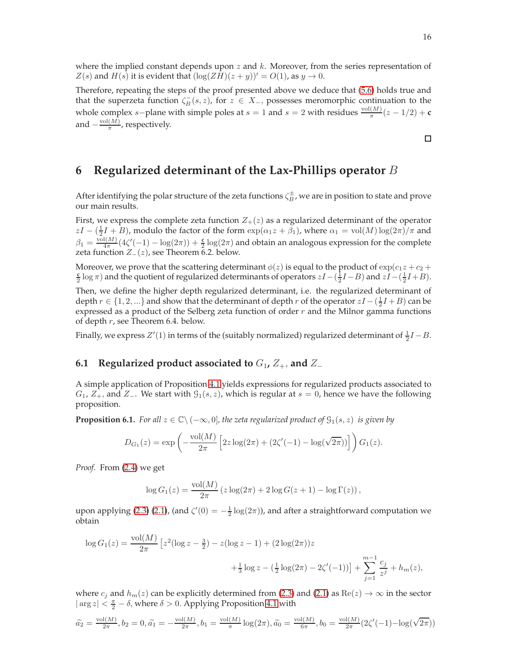where the implied constant depends upon  $z$  and  $k$ . Moreover, from the series representation of  $Z(s)$  and  $H(s)$  it is evident that  $(\log(ZH)(z+y))' = O(1)$ , as  $y \to 0$ .

Therefore, repeating the steps of the proof presented above we deduce that [\(5.6\)](#page-14-0) holds true and that the superzeta function  $\zeta_B^-(s, z)$ , for  $z \in X_+$ , possesses meromorphic continuation to the whole complex *s*-plane with simple poles at *s* = 1 and *s* = 2 with residues  $\frac{\text{vol}(M)}{\pi}(z - 1/2) + \mathbf{c}$ and  $-\frac{\text{vol}(M)}{\pi}$  $\frac{\binom{M}{M}}{\pi}$ , respectively.

6 Regularized determinant of the Lax-Phillips operator 
$$
B
$$

After identifying the polar structure of the zeta functions  $\zeta_B^\pm$ , we are in position to state and prove our main results.

First, we express the complete zeta function  $Z_{+}(z)$  as a regularized determinant of the operator  $zI - (\frac{1}{2}I + B)$ , modulo the factor of the form  $\exp(\alpha_1 z + \beta_1)$ , where  $\alpha_1 = \text{vol}(M) \log(2\pi)/\pi$  and  $\beta_1 = \frac{\text{vol}(M)}{4\pi}$  $\frac{d(M)}{4\pi}(4\zeta'(-1) - \log(2\pi)) + \frac{c}{2}\log(2\pi)$  and obtain an analogous expression for the complete zeta function  $Z_-(z)$ , see Theorem 6.2. below.

Moreover, we prove that the scattering determinant  $\phi(z)$  is equal to the product of  $\exp(c_1z + c_2 + c_3)$  $\frac{c}{2}$  log  $\pi$ ) and the quotient of regularized determinants of operators  $zI-(\frac{1}{2}I-B)$  and  $zI-(\frac{1}{2}I+B)$ .

Then, we define the higher depth regularized determinant, i.e. the regularized determinant of depth  $r \in \{1, 2, ...\}$  and show that the determinant of depth  $r$  of the operator  $zI - (\frac{1}{2}I + B)$  can be expressed as a product of the Selberg zeta function of order  $r$  and the Milnor gamma functions of depth r, see Theorem 6.4. below.

Finally, we express  $Z'(1)$  in terms of the (suitably normalized) regularized determinant of  $\frac{1}{2}I - B$ .

### **6.1 Regularized product associated to**  $G_1$ ,  $Z_+$ , and  $Z_-$

A simple application of Proposition [4.1](#page-10-5) yields expressions for regularized products associated to  $G_1$ ,  $Z_+$ , and  $Z_-$ . We start with  $\mathcal{G}_1(s, z)$ , which is regular at  $s = 0$ , hence we have the following proposition.

**Proposition 6.1.** *For all*  $z \in \mathbb{C} \setminus (-\infty, 0]$ *, the zeta regularized product of*  $\mathcal{G}_1(s, z)$  *is given by* 

$$
D_{G_1}(z) = \exp\left(-\frac{\text{vol}(M)}{2\pi} \left[2z\log(2\pi) + (2\zeta'(-1) - \log(\sqrt{2\pi}))\right]\right) G_1(z).
$$

*Proof.* From [\(2.4\)](#page-4-0) we get

$$
\log G_1(z) = \frac{\text{vol}(M)}{2\pi} (z \log(2\pi) + 2 \log G(z+1) - \log \Gamma(z)),
$$

upon applying [\(2.3\)](#page-4-1) [\(2.1\)](#page-3-0), (and  $\zeta'(0) = -\frac{1}{2} \log(2\pi)$ ), and after a straightforward computation we obtain

$$
\log G_1(z) = \frac{\text{vol}(M)}{2\pi} \left[ z^2 (\log z - \frac{3}{2}) - z (\log z - 1) + (2 \log(2\pi)) z + \frac{1}{3} \log z - (\frac{1}{2} \log(2\pi) - 2\zeta'(-1)) \right] + \sum_{j=1}^{m-1} \frac{c_j}{z^j} + h_m(z),
$$

where  $c_i$  and  $h_m(z)$  can be explicitly determined from [\(2.3\)](#page-4-1) and [\(2.1\)](#page-3-0) as  $\text{Re}(z) \to \infty$  in the sector  $|\arg z| < \frac{\pi}{2} - \delta$ , where  $\delta > 0$ . Applying Proposition [4.1](#page-10-5) with

$$
\tilde{a_2} = \frac{\text{vol}(M)}{2\pi}, b_2 = 0, \tilde{a_1} = -\frac{\text{vol}(M)}{2\pi}, b_1 = \frac{\text{vol}(M)}{\pi} \log(2\pi), \tilde{a_0} = \frac{\text{vol}(M)}{6\pi}, b_0 = \frac{\text{vol}(M)}{2\pi} (2\zeta'(-1) - \log(\sqrt{2\pi}))
$$

 $\Box$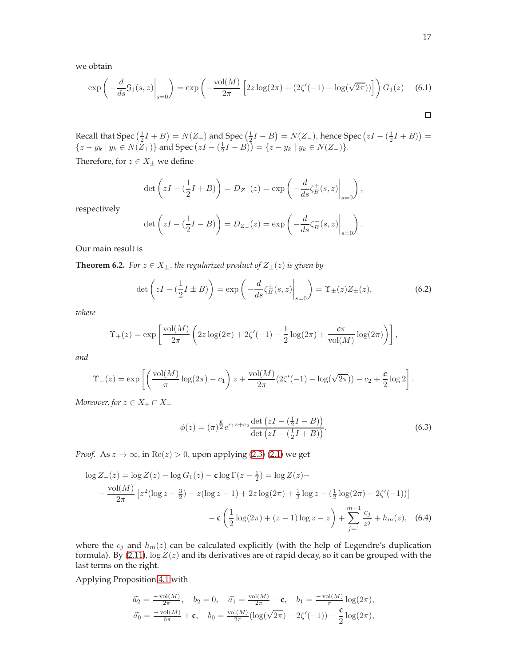we obtain

$$
\exp\left(-\frac{d}{ds}\mathcal{G}_1(s,z)\Big|_{s=0}\right) = \exp\left(-\frac{\text{vol}(M)}{2\pi}\left[2z\log(2\pi) + (2\zeta'(-1) - \log(\sqrt{2\pi}))\right]\right)G_1(z) \quad (6.1)
$$

Recall that Spec  $(\frac{1}{2}I + B) = N(Z_+)$  and Spec  $(\frac{1}{2}I - B) = N(Z_-)$ , hence Spec  $(zI - (\frac{1}{2}I + B)) =$  $\{z - y_k \mid y_k \in N(Z_+) \}$  and Spec  $\left( zI - \left( \frac{1}{2}I - B \right) \right) = \{ z - y_k \mid y_k \in N(Z_-) \}.$ 

Therefore, for  $z \in X_\pm$  we define

$$
\det\left( zI - \left(\frac{1}{2}I + B\right) \right) = D_{Z_+}(z) = \exp\left( -\frac{d}{ds} \zeta_B^+(s, z) \Big|_{s=0} \right),
$$

respectively

$$
\det\left(zI - \left(\frac{1}{2}I - B\right)\right) = D_{Z_{-}}(z) = \exp\left(-\frac{d}{ds}\zeta_{B}^{-}(s, z)\bigg|_{s=0}\right).
$$

Our main result is

<span id="page-16-0"></span>**Theorem 6.2.** *For*  $z \in X_{\pm}$ *, the regularized product of*  $Z_{\pm}(z)$  *is given by* 

<span id="page-16-1"></span>
$$
\det\left(zI - \left(\frac{1}{2}I \pm B\right)\right) = \exp\left(-\frac{d}{ds}\zeta_B^{\pm}(s,z)\Big|_{s=0}\right) = \Upsilon_{\pm}(z)Z_{\pm}(z),\tag{6.2}
$$

*where*

$$
\Upsilon_{+}(z) = \exp \left[ \frac{\text{vol}(M)}{2\pi} \left( 2z \log(2\pi) + 2\zeta'(-1) - \frac{1}{2} \log(2\pi) + \frac{c\pi}{\text{vol}(M)} \log(2\pi) \right) \right],
$$

*and*

$$
\Upsilon_{-}(z) = \exp \left[ \left( \frac{\text{vol}(M)}{\pi} \log(2\pi) - c_1 \right) z + \frac{\text{vol}(M)}{2\pi} (2\zeta'(-1) - \log(\sqrt{2\pi})) - c_2 + \frac{c}{2} \log 2 \right].
$$

*Moreover, for*  $z \in X_+ \cap X_-$ 

<span id="page-16-2"></span>
$$
\phi(z) = (\pi)^{\frac{c}{2}} e^{c_1 z + c_2} \frac{\det(zI - (\frac{1}{2}I - B))}{\det(zI - (\frac{1}{2}I + B))}.
$$
\n(6.3)

*Proof.* As  $z \to \infty$ , in  $\text{Re}(z) > 0$ , upon applying [\(2.3\)](#page-4-1) [\(2.1\)](#page-3-0) we get

$$
\log Z_{+}(z) = \log Z(z) - \log G_{1}(z) - \mathbf{c} \log \Gamma(z - \frac{1}{2}) = \log Z(z) -
$$
  
 
$$
- \frac{\text{vol}(M)}{2\pi} \left[ z^{2} (\log z - \frac{3}{2}) - z (\log z - 1) + 2z \log(2\pi) + \frac{1}{3} \log z - (\frac{1}{2} \log(2\pi) - 2\zeta'(-1)) \right]
$$
  
 
$$
- \mathbf{c} \left( \frac{1}{2} \log(2\pi) + (z - 1) \log z - z \right) + \sum_{j=1}^{m-1} \frac{c_{j}}{z^{j}} + h_{m}(z), \quad (6.4)
$$

where the  $c_j$  and  $h_m(z)$  can be calculated explicitly (with the help of Legendre's duplication formula). By [\(2.11\)](#page-6-1),  $\log Z(z)$  and its derivatives are of rapid decay, so it can be grouped with the last terms on the right.

Applying Proposition [4.1](#page-10-5) with

$$
\begin{aligned}\n\widetilde{a_2} &= \frac{-\text{vol}(M)}{2\pi}, \quad b_2 = 0, \quad \widetilde{a_1} = \frac{\text{vol}(M)}{2\pi} - \mathbf{c}, \quad b_1 = \frac{-\text{vol}(M)}{\pi} \log(2\pi), \\
\widetilde{a_0} &= \frac{-\text{vol}(M)}{6\pi} + \mathbf{c}, \quad b_0 = \frac{\text{vol}(M)}{2\pi} \left( \log(\sqrt{2\pi}) - 2\zeta'(-1) \right) - \frac{\mathbf{c}}{2} \log(2\pi),\n\end{aligned}
$$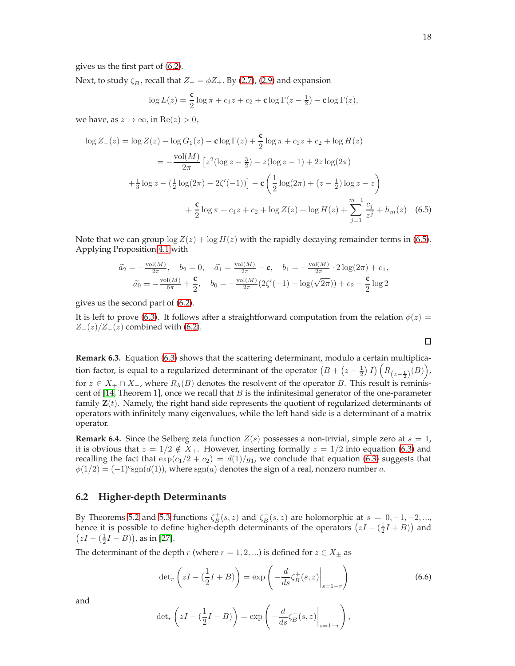gives us the first part of [\(6.2\)](#page-16-1).

Next, to study  $\zeta_B^-$ , recall that  $Z_-=\phi Z_+$ . By [\(2.7\)](#page-5-6), [\(2.9\)](#page-5-5) and expansion

$$
\log L(z) = \frac{\mathbf{c}}{2} \log \pi + c_1 z + c_2 + \mathbf{c} \log \Gamma(z - \frac{1}{2}) - \mathbf{c} \log \Gamma(z),
$$

we have, as  $z \to \infty$ , in  $\text{Re}(z) > 0$ ,

$$
\log Z_{-}(z) = \log Z(z) - \log G_{1}(z) - \mathbf{c} \log \Gamma(z) + \frac{\mathbf{c}}{2} \log \pi + c_{1}z + c_{2} + \log H(z)
$$
  

$$
= -\frac{\text{vol}(M)}{2\pi} \left[ z^{2} (\log z - \frac{3}{2}) - z (\log z - 1) + 2z \log(2\pi) + \frac{1}{3} \log z - (\frac{1}{2} \log(2\pi) - 2\zeta'(-1)) \right] - \mathbf{c} \left( \frac{1}{2} \log(2\pi) + (z - \frac{1}{2}) \log z - z \right)
$$
  

$$
+ \frac{\mathbf{c}}{2} \log \pi + c_{1}z + c_{2} + \log Z(z) + \log H(z) + \sum_{j=1}^{m-1} \frac{c_{j}}{z^{j}} + h_{m}(z) \quad (6.5)
$$

Note that we can group  $\log Z(z) + \log H(z)$  with the rapidly decaying remainder terms in [\(6.5\)](#page-17-0). Applying Proposition [4.1](#page-10-5) with

$$
\begin{aligned}\n\tilde{a}_2 &= -\frac{\text{vol}(M)}{2\pi}, \quad b_2 = 0, \quad \tilde{a}_1 = \frac{\text{vol}(M)}{2\pi} - \mathbf{c}, \quad b_1 = -\frac{\text{vol}(M)}{2\pi} \cdot 2\log(2\pi) + c_1, \\
\tilde{a}_0 &= -\frac{\text{vol}(M)}{6\pi} + \frac{\mathbf{c}}{2}, \quad b_0 = -\frac{\text{vol}(M)}{2\pi} \left(2\zeta'(-1) - \log(\sqrt{2\pi})\right) + c_2 - \frac{\mathbf{c}}{2}\log 2\n\end{aligned}
$$

gives us the second part of [\(6.2\)](#page-16-1).

It is left to prove [\(6.3\)](#page-16-2). It follows after a straightforward computation from the relation  $\phi(z)$  =  $Z_-(z)/Z_+(z)$  combined with [\(6.2\)](#page-16-1).

**Remark 6.3.** Equation [\(6.3\)](#page-16-2) shows that the scattering determinant, modulo a certain multiplication factor, is equal to a regularized determinant of the operator  $(B + (z - \frac{1}{2}) I) (R_{(z-\frac{1}{2})}(B))$ , for  $z \in X_+ \cap X_-,$  where  $R_\lambda(B)$  denotes the resolvent of the operator B. This result is reminiscent of  $[14,$  Theorem 1], once we recall that  $B$  is the infinitesimal generator of the one-parameter family  $\mathbf{Z}(t)$ . Namely, the right hand side represents the quotient of regularized determinants of operators with infinitely many eigenvalues, while the left hand side is a determinant of a matrix operator.

**Remark 6.4.** Since the Selberg zeta function  $Z(s)$  possesses a non-trivial, simple zero at  $s = 1$ , it is obvious that  $z = 1/2 \notin X_+$ . However, inserting formally  $z = 1/2$  into equation [\(6.3\)](#page-16-2) and recalling the fact that  $\exp(c_1/2 + c_2) = d(1)/g_1$ , we conclude that equation [\(6.3\)](#page-16-2) suggests that  $\phi(1/2) = (-1)^{\mathbf{c}} \text{sgn}(d(1))$ , where  $\text{sgn}(a)$  denotes the sign of a real, nonzero number a.

### **6.2 Higher-depth Determinants**

By Theorems [5.2](#page-12-4) and [5.3](#page-14-1) functions  $\zeta_B^+(s, z)$  and  $\zeta_B^-(s, z)$  are holomorphic at  $s = 0, -1, -2, ...,$ hence it is possible to define higher-depth determinants of the operators  $(zI - (\frac{1}{2}I + B))$  and  $(zI - (\frac{1}{2}I - B))$ , as in [\[27\]](#page-21-16).

The determinant of the depth r (where  $r = 1, 2, ...$ ) is defined for  $z \in X_{\pm}$  as

<span id="page-17-1"></span>
$$
\det_r\left(zI - \left(\frac{1}{2}I + B\right)\right) = \exp\left(-\frac{d}{ds}\zeta_B^+(s,z)\Big|_{s=1-r}\right) \tag{6.6}
$$

and

$$
\det_r \left( zI - \left( \frac{1}{2}I - B \right) \right) = \exp \left( -\frac{d}{ds} \zeta_B^-(s, z) \Big|_{s=1-r} \right),
$$

<span id="page-17-0"></span> $\Box$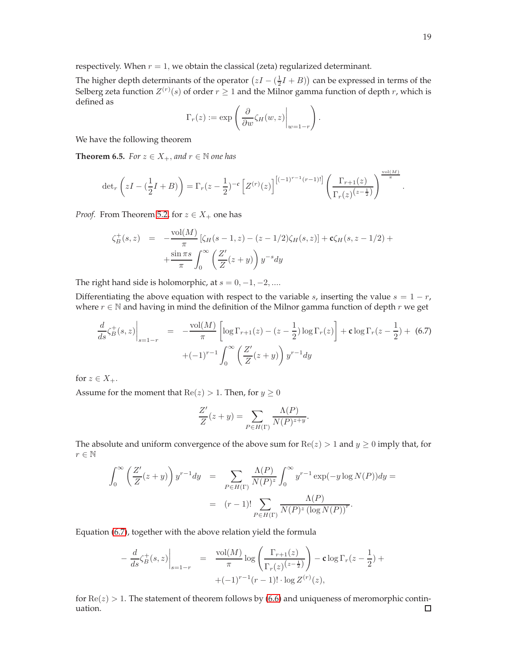respectively. When  $r = 1$ , we obtain the classical (zeta) regularized determinant.

The higher depth determinants of the operator  $(zI - (\frac{1}{2}I + B))$  can be expressed in terms of the Selberg zeta function  $Z^{(r)}(s)$  of order  $r \geq 1$  and the Milnor gamma function of depth r, which is defined as

$$
\Gamma_r(z) := \exp\left(\left.\frac{\partial}{\partial w}\zeta_H(w,z)\right|_{w=1-r}\right).
$$

We have the following theorem

**Theorem 6.5.** *For*  $z \in X_+$ *, and*  $r \in \mathbb{N}$  *one has* 

$$
\det_r\left(zI - \left(\frac{1}{2}I + B\right)\right) = \Gamma_r(z - \frac{1}{2})^{-c} \left[Z^{(r)}(z)\right]^{\left[(-1)^{r-1}(r-1)!\right]} \left(\frac{\Gamma_{r+1}(z)}{\Gamma_r(z)^{\left(z - \frac{1}{2}\right)}}\right)^{\frac{\text{vol}(M)}{\pi}}.
$$

*Proof.* From Theorem [5.2,](#page-12-4) for  $z \in X_+$  one has

$$
\zeta_B^+(s, z) = -\frac{\text{vol}(M)}{\pi} [\zeta_H(s - 1, z) - (z - 1/2)\zeta_H(s, z)] + \mathbf{c}\zeta_H(s, z - 1/2) + \n+ \frac{\sin \pi s}{\pi} \int_0^\infty \left( \frac{Z'}{Z}(z + y) \right) y^{-s} dy
$$

The right hand side is holomorphic, at  $s = 0, -1, -2, \dots$ 

Differentiating the above equation with respect to the variable s, inserting the value  $s = 1 - r$ , where  $r \in \mathbb{N}$  and having in mind the definition of the Milnor gamma function of depth r we get

<span id="page-18-0"></span>
$$
\frac{d}{ds}\zeta_B^+(s,z)\Big|_{s=1-r} = -\frac{\text{vol}(M)}{\pi} \left[ \log \Gamma_{r+1}(z) - (z - \frac{1}{2}) \log \Gamma_r(z) \right] + \mathbf{c} \log \Gamma_r(z - \frac{1}{2}) + (6.7) + (-1)^{r-1} \int_0^\infty \left( \frac{Z'}{Z}(z+y) \right) y^{r-1} dy
$$

for  $z \in X_+$ .

Assume for the moment that  $Re(z) > 1$ . Then, for  $y \ge 0$ 

$$
\frac{Z'}{Z}(z+y) = \sum_{P \in H(\Gamma)} \frac{\Lambda(P)}{N(P)^{z+y}}.
$$

The absolute and uniform convergence of the above sum for  $\text{Re}(z) > 1$  and  $y \ge 0$  imply that, for  $r \in \mathbb{N}$ 

$$
\int_0^\infty \left(\frac{Z'}{Z}(z+y)\right) y^{r-1} dy = \sum_{P \in H(\Gamma)} \frac{\Lambda(P)}{N(P)^z} \int_0^\infty y^{r-1} \exp(-y \log N(P)) dy =
$$
  
=  $(r-1)! \sum_{P \in H(\Gamma)} \frac{\Lambda(P)}{N(P)^z (\log N(P))^r}.$ 

Equation [\(6.7\)](#page-18-0), together with the above relation yield the formula

$$
-\frac{d}{ds}\zeta_B^+(s,z)\Big|_{s=1-r} = \frac{\text{vol}(M)}{\pi}\log\left(\frac{\Gamma_{r+1}(z)}{\Gamma_r(z)^{(z-\frac{1}{2})}}\right) - \mathbf{c}\log\Gamma_r(z-\frac{1}{2}) ++(-1)^{r-1}(r-1)! \cdot \log Z^{(r)}(z),
$$

for  $Re(z) > 1$ . The statement of theorem follows by [\(6.6\)](#page-17-1) and uniqueness of meromorphic continuation. $\Box$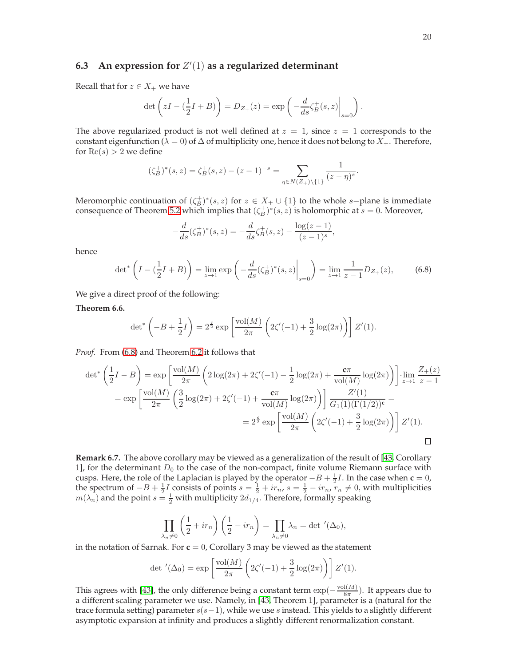# **6.3 An expression for** Z ′ (1) **as a regularized determinant**

Recall that for  $z \in X_+$  we have

$$
\det\left( zI - \left(\frac{1}{2}I + B\right) \right) = D_{Z_+}(z) = \exp\left( -\frac{d}{ds} \zeta_B^+(s, z) \Big|_{s=0} \right).
$$

The above regularized product is not well defined at  $z = 1$ , since  $z = 1$  corresponds to the constant eigenfunction ( $\lambda = 0$ ) of  $\Delta$  of multiplicity one, hence it does not belong to  $X_+$ . Therefore, for  $Re(s) > 2$  we define

$$
(\zeta_B^+)^*(s, z) = \zeta_B^+(s, z) - (z - 1)^{-s} = \sum_{\eta \in N(Z_+) \setminus \{1\}} \frac{1}{(z - \eta)^s}.
$$

Meromorphic continuation of  $(\zeta_B^+)^*(s, z)$  for  $z \in X_+ \cup \{1\}$  to the whole s-plane is immediate consequence of Theorem [5.2](#page-12-4) which implies that  $(\zeta_B^+)^*(s, z)$  is holomorphic at  $s = 0$ . Moreover,

$$
-\frac{d}{ds}(\zeta_B^+)^*(s,z) = -\frac{d}{ds}\zeta_B^+(s,z) - \frac{\log(z-1)}{(z-1)^s},
$$

hence

<span id="page-19-1"></span>
$$
\det^* \left( I - \left( \frac{1}{2} I + B \right) \right) = \lim_{z \to 1} \exp \left( - \frac{d}{ds} (\zeta_B^+)^* (s, z) \Big|_{s=0} \right) = \lim_{z \to 1} \frac{1}{z - 1} D_{Z_+}(z), \tag{6.8}
$$

We give a direct proof of the following:

<span id="page-19-0"></span>**Theorem 6.6.**

$$
\det^* \left( -B + \frac{1}{2}I \right) = 2^{\frac{2}{2}} \exp \left[ \frac{\text{vol}(M)}{2\pi} \left( 2\zeta'(-1) + \frac{3}{2} \log(2\pi) \right) \right] Z'(1).
$$

*Proof.* From [\(6.8\)](#page-19-1) and Theorem [6.2](#page-16-0) it follows that

$$
\det^* \left( \frac{1}{2}I - B \right) = \exp \left[ \frac{\text{vol}(M)}{2\pi} \left( 2\log(2\pi) + 2\zeta'(-1) - \frac{1}{2}\log(2\pi) + \frac{\mathbf{c}\pi}{\text{vol}(M)} \log(2\pi) \right) \right] \cdot \lim_{z \to 1} \frac{Z_+(z)}{z - 1}
$$

$$
= \exp \left[ \frac{\text{vol}(M)}{2\pi} \left( \frac{3}{2}\log(2\pi) + 2\zeta'(-1) + \frac{\mathbf{c}\pi}{\text{vol}(M)} \log(2\pi) \right) \right] \frac{Z'(1)}{G_1(1)(\Gamma(1/2))^\mathbf{c}} =
$$

$$
= 2^{\frac{\mathbf{c}}{2}} \exp \left[ \frac{\text{vol}(M)}{2\pi} \left( 2\zeta'(-1) + \frac{3}{2}\log(2\pi) \right) \right] Z'(1).
$$

**Remark 6.7.** The above corollary may be viewed as a generalization of the result of [\[43,](#page-21-15) Corollary 1], for the determinant  $D_0$  to the case of the non-compact, finite volume Riemann surface with cusps. Here, the role of the Laplacian is played by the operator  $-B + \frac{1}{2}I$ . In the case when **c** = 0, the spectrum of  $-B + \frac{1}{2}I$  consists of points  $s = \frac{1}{2} + ir_n$ ,  $s = \frac{1}{2} - ir_n$ ,  $r_n \neq 0$ , with multiplicities  $m(\lambda_n)$  and the point  $s = \frac{1}{2}$  with multiplicity  $2d_{1/4}$ . Therefore, formally speaking

$$
\prod_{\lambda_n \neq 0} \left( \frac{1}{2} + ir_n \right) \left( \frac{1}{2} - ir_n \right) = \prod_{\lambda_n \neq 0} \lambda_n = \det'(\Delta_0),
$$

in the notation of Sarnak. For  $c = 0$ , Corollary 3 may be viewed as the statement

$$
\det'(\Delta_0) = \exp\left[\frac{\text{vol}(M)}{2\pi} \left(2\zeta'(-1) + \frac{3}{2}\log(2\pi)\right)\right] Z'(1).
$$

This agrees with [\[43\]](#page-21-15), the only difference being a constant term  $\exp(-\frac{\text{vol}(M)}{8\pi})$  $\frac{I(M)}{8\pi}$ ). It appears due to a different scaling parameter we use. Namely, in [\[43,](#page-21-15) Theorem 1], parameter is a (natural for the trace formula setting) parameter  $s(s-1)$ , while we use s instead. This yields to a slightly different asymptotic expansion at infinity and produces a slightly different renormalization constant.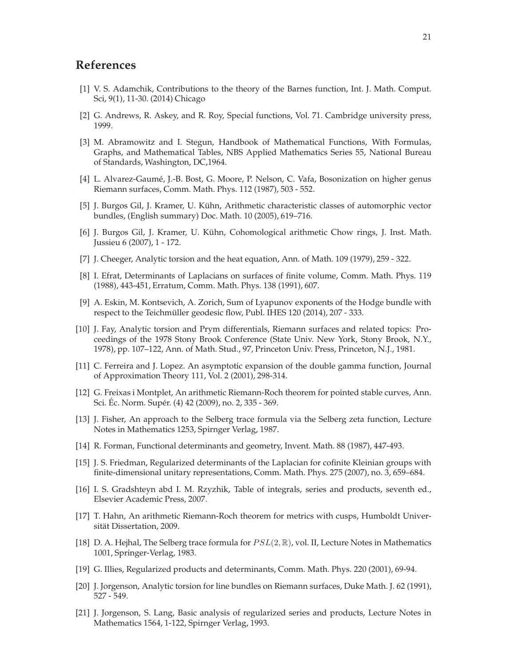# <span id="page-20-12"></span>**References**

- [1] V. S. Adamchik, Contributions to the theory of the Barnes function, Int. J. Math. Comput. Sci, 9(1), 11-30. (2014) Chicago
- <span id="page-20-9"></span>[2] G. Andrews, R. Askey, and R. Roy, Special functions, Vol. 71. Cambridge university press, 1999.
- [3] M. Abramowitz and I. Stegun, Handbook of Mathematical Functions, With Formulas, Graphs, and Mathematical Tables, NBS Applied Mathematics Series 55, National Bureau of Standards, Washington, DC,1964.
- <span id="page-20-3"></span>[4] L. Alvarez-Gaum´e, J.-B. Bost, G. Moore, P. Nelson, C. Vafa, Bosonization on higher genus Riemann surfaces, Comm. Math. Phys. 112 (1987), 503 - 552.
- [5] J. Burgos Gil, J. Kramer, U. Kühn, Arithmetic characteristic classes of automorphic vector bundles, (English summary) Doc. Math. 10 (2005), 619–716.
- [6] J. Burgos Gil, J. Kramer, U. Kühn, Cohomological arithmetic Chow rings, J. Inst. Math. Jussieu 6 (2007), 1 - 172.
- <span id="page-20-4"></span><span id="page-20-0"></span>[7] J. Cheeger, Analytic torsion and the heat equation, Ann. of Math. 109 (1979), 259 - 322.
- [8] I. Efrat, Determinants of Laplacians on surfaces of finite volume, Comm. Math. Phys. 119 (1988), 443-451, Erratum, Comm. Math. Phys. 138 (1991), 607.
- <span id="page-20-8"></span>[9] A. Eskin, M. Kontsevich, A. Zorich, Sum of Lyapunov exponents of the Hodge bundle with respect to the Teichmüller geodesic flow, Publ. IHES 120 (2014), 207 - 333.
- <span id="page-20-2"></span>[10] J. Fay, Analytic torsion and Prym differentials, Riemann surfaces and related topics: Proceedings of the 1978 Stony Brook Conference (State Univ. New York, Stony Brook, N.Y., 1978), pp. 107–122, Ann. of Math. Stud., 97, Princeton Univ. Press, Princeton, N.J., 1981.
- <span id="page-20-11"></span>[11] C. Ferreira and J. Lopez. An asymptotic expansion of the double gamma function, Journal of Approximation Theory 111, Vol. 2 (2001), 298-314.
- <span id="page-20-7"></span>[12] G. Freixas i Montplet, An arithmetic Riemann-Roch theorem for pointed stable curves, Ann. Sci. Éc. Norm. Supér. (4) 42 (2009), no. 2, 335 - 369.
- <span id="page-20-10"></span>[13] J. Fisher, An approach to the Selberg trace formula via the Selberg zeta function, Lecture Notes in Mathematics 1253, Spirnger Verlag, 1987.
- <span id="page-20-17"></span><span id="page-20-5"></span>[14] R. Forman, Functional determinants and geometry, Invent. Math. 88 (1987), 447-493.
- [15] J. S. Friedman, Regularized determinants of the Laplacian for cofinite Kleinian groups with finite-dimensional unitary representations, Comm. Math. Phys. 275 (2007), no. 3, 659–684.
- <span id="page-20-16"></span>[16] I. S. Gradshteyn abd I. M. Rzyzhik, Table of integrals, series and products, seventh ed., Elsevier Academic Press, 2007.
- <span id="page-20-6"></span>[17] T. Hahn, An arithmetic Riemann-Roch theorem for metrics with cusps, Humboldt Universität Dissertation, 2009.
- <span id="page-20-13"></span>[18] D. A. Hejhal, The Selberg trace formula for  $PSL(2,\mathbb{R})$ , vol. II, Lecture Notes in Mathematics 1001, Springer-Verlag, 1983.
- <span id="page-20-14"></span><span id="page-20-1"></span>[19] G. Illies, Regularized products and determinants, Comm. Math. Phys. 220 (2001), 69-94.
- <span id="page-20-15"></span>[20] J. Jorgenson, Analytic torsion for line bundles on Riemann surfaces, Duke Math. J. 62 (1991), 527 - 549.
- [21] J. Jorgenson, S. Lang, Basic analysis of regularized series and products, Lecture Notes in Mathematics 1564, 1-122, Spirnger Verlag, 1993.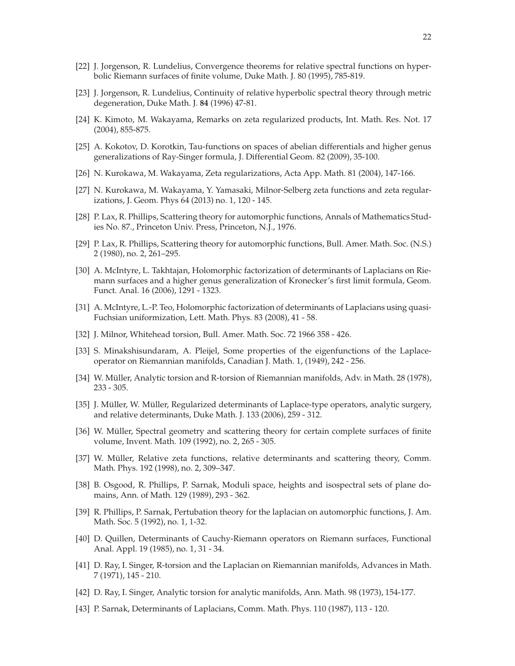- <span id="page-21-12"></span><span id="page-21-10"></span>[22] J. Jorgenson, R. Lundelius, Convergence theorems for relative spectral functions on hyperbolic Riemann surfaces of finite volume, Duke Math. J. 80 (1995), 785-819.
- [23] J. Jorgenson, R. Lundelius, Continuity of relative hyperbolic spectral theory through metric degeneration, Duke Math. J. **84** (1996) 47-81.
- <span id="page-21-18"></span><span id="page-21-7"></span>[24] K. Kimoto, M. Wakayama, Remarks on zeta regularized products, Int. Math. Res. Not. 17 (2004), 855-875.
- [25] A. Kokotov, D. Korotkin, Tau-functions on spaces of abelian differentials and higher genus generalizations of Ray-Singer formula, J. Differential Geom. 82 (2009), 35-100.
- <span id="page-21-19"></span><span id="page-21-16"></span>[26] N. Kurokawa, M. Wakayama, Zeta regularizations, Acta App. Math. 81 (2004), 147-166.
- [27] N. Kurokawa, M. Wakayama, Y. Yamasaki, Milnor-Selberg zeta functions and zeta regularizations, J. Geom. Phys 64 (2013) no. 1, 120 - 145.
- <span id="page-21-13"></span>[28] P. Lax, R. Phillips, Scattering theory for automorphic functions, Annals of Mathematics Studies No. 87., Princeton Univ. Press, Princeton, N.J., 1976.
- <span id="page-21-14"></span><span id="page-21-8"></span>[29] P. Lax, R. Phillips, Scattering theory for automorphic functions, Bull. Amer. Math. Soc. (N.S.) 2 (1980), no. 2, 261–295.
- [30] A. McIntyre, L. Takhtajan, Holomorphic factorization of determinants of Laplacians on Riemann surfaces and a higher genus generalization of Kronecker's first limit formula, Geom. Funct. Anal. 16 (2006), 1291 - 1323.
- <span id="page-21-9"></span>[31] A. McIntyre, L.-P. Teo, Holomorphic factorization of determinants of Laplacians using quasi-Fuchsian uniformization, Lett. Math. Phys. 83 (2008), 41 - 58.
- <span id="page-21-3"></span><span id="page-21-0"></span>[32] J. Milnor, Whitehead torsion, Bull. Amer. Math. Soc. 72 1966 358 - 426.
- [33] S. Minakshisundaram, A. Pleijel, Some properties of the eigenfunctions of the Laplaceoperator on Riemannian manifolds, Canadian J. Math. 1, (1949), 242 - 256.
- <span id="page-21-21"></span><span id="page-21-4"></span>[34] W. Müller, Analytic torsion and R-torsion of Riemannian manifolds, Adv. in Math. 28 (1978), 233 - 305.
- [35] J. Müller, W. Müller, Regularized determinants of Laplace-type operators, analytic surgery, and relative determinants, Duke Math. J. 133 (2006), 259 - 312.
- <span id="page-21-20"></span>[36] W. Müller, Spectral geometry and scattering theory for certain complete surfaces of finite volume, Invent. Math. 109 (1992), no. 2, 265 - 305.
- <span id="page-21-11"></span>[37] W. Müller, Relative zeta functions, relative determinants and scattering theory, Comm. Math. Phys. 192 (1998), no. 2, 309–347.
- <span id="page-21-5"></span>[38] B. Osgood, R. Phillips, P. Sarnak, Moduli space, heights and isospectral sets of plane domains, Ann. of Math. 129 (1989), 293 - 362.
- <span id="page-21-17"></span>[39] R. Phillips, P. Sarnak, Pertubation theory for the laplacian on automorphic functions, J. Am. Math. Soc. 5 (1992), no. 1, 1-32.
- <span id="page-21-6"></span>[40] D. Quillen, Determinants of Cauchy-Riemann operators on Riemann surfaces, Functional Anal. Appl. 19 (1985), no. 1, 31 - 34.
- <span id="page-21-1"></span>[41] D. Ray, I. Singer, R-torsion and the Laplacian on Riemannian manifolds, Advances in Math. 7 (1971), 145 - 210.
- <span id="page-21-15"></span><span id="page-21-2"></span>[42] D. Ray, I. Singer, Analytic torsion for analytic manifolds, Ann. Math. 98 (1973), 154-177.
- [43] P. Sarnak, Determinants of Laplacians, Comm. Math. Phys. 110 (1987), 113 120.